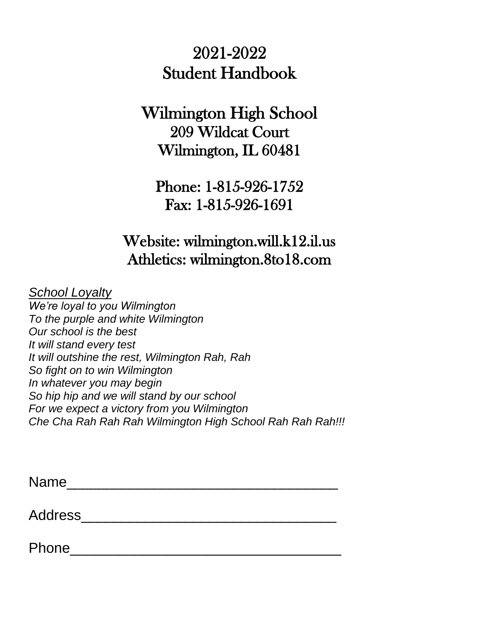# 2021-2022 Student Handbook

# Wilmington High School 209 Wildcat Court Wilmington, IL 60481

Phone: 1-815-926-1752 Fax: 1-815-926-1691

# Website: wilmington.will.k12.il.us Athletics: wilmington.8to18.com

*School Loyalty*

*We're loyal to you Wilmington To the purple and white Wilmington Our school is the best It will stand every test It will outshine the rest, Wilmington Rah, Rah So fight on to win Wilmington In whatever you may begin So hip hip and we will stand by our school For we expect a victory from you Wilmington Che Cha Rah Rah Rah Wilmington High School Rah Rah Rah!!!*

Name\_\_\_\_\_\_\_\_\_\_\_\_\_\_\_\_\_\_\_\_\_\_\_\_\_\_\_\_\_\_\_\_\_\_

Address\_\_\_\_\_\_\_\_\_\_\_\_\_\_\_\_\_\_\_\_\_\_\_\_\_\_\_\_\_\_\_\_

Phone\_\_\_\_\_\_\_\_\_\_\_\_\_\_\_\_\_\_\_\_\_\_\_\_\_\_\_\_\_\_\_\_\_\_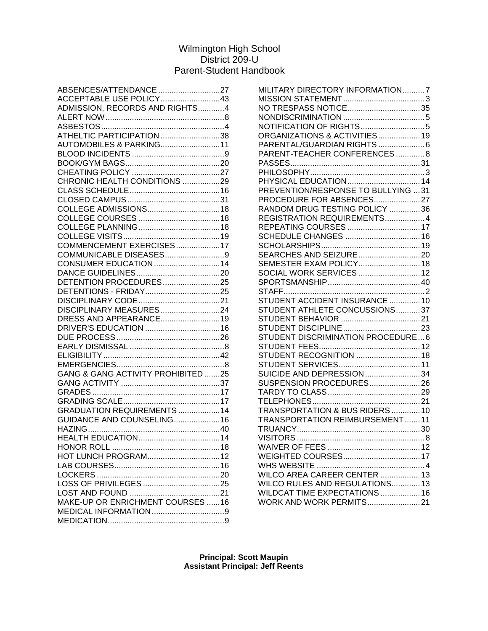# Wilmington High School District 209-U Parent-Student Handbook

| ABSENCES/ATTENDANCE 27                        |  |
|-----------------------------------------------|--|
| ACCEPTABLE USE POLICY43                       |  |
| ADMISSION, RECORDS AND RIGHTS4                |  |
|                                               |  |
|                                               |  |
| ATHELTIC PARTICIPATION 38                     |  |
| AUTOMOBILES & PARKING11                       |  |
|                                               |  |
|                                               |  |
|                                               |  |
| CHRONIC HEALTH CONDITIONS 29                  |  |
|                                               |  |
|                                               |  |
|                                               |  |
|                                               |  |
|                                               |  |
|                                               |  |
|                                               |  |
| COMMENCEMENT EXERCISES17                      |  |
| COMMUNICABLE DISEASES9                        |  |
| CONSUMER EDUCATION14                          |  |
|                                               |  |
| DETENTION PROCEDURES25                        |  |
|                                               |  |
|                                               |  |
| DISCIPLINARY MEASURES24                       |  |
| DRESS AND APPEARANCE19                        |  |
|                                               |  |
|                                               |  |
|                                               |  |
|                                               |  |
|                                               |  |
| <b>GANG &amp; GANG ACTIVITY PROHIBITED 25</b> |  |
|                                               |  |
|                                               |  |
|                                               |  |
|                                               |  |
| GRADUATION REQUIREMENTS 14                    |  |
| GUIDANCE AND COUNSELING16                     |  |
|                                               |  |
|                                               |  |
|                                               |  |
| HOT LUNCH PROGRAM12                           |  |
|                                               |  |
|                                               |  |
|                                               |  |
|                                               |  |
| MAKE-UP OR ENRICHMENT COURSES 16              |  |
|                                               |  |
|                                               |  |
|                                               |  |

| MILITARY DIRECTORY INFORMATION7   |  |
|-----------------------------------|--|
|                                   |  |
| NO TRESPASS NOTICE35              |  |
|                                   |  |
|                                   |  |
| ORGANIZATIONS & ACTIVITIES 19     |  |
|                                   |  |
| PARENT-TEACHER CONFERENCES8       |  |
|                                   |  |
|                                   |  |
|                                   |  |
|                                   |  |
| PROCEDURE FOR ABSENCES27          |  |
| RANDOM DRUG TESTING POLICY 36     |  |
| REGISTRATION REQUIREMENTS4        |  |
| REPEATING COURSES  17             |  |
| SCHEDULE CHANGES  16              |  |
|                                   |  |
|                                   |  |
| SEMESTER EXAM POLICY 18           |  |
| SOCIAL WORK SERVICES  12          |  |
|                                   |  |
|                                   |  |
| STUDENT ACCIDENT INSURANCE 10     |  |
| STUDENT ATHLETE CONCUSSIONS37     |  |
|                                   |  |
|                                   |  |
| STUDENT DISCRIMINATION PROCEDURE6 |  |
|                                   |  |
| STUDENT RECOGNITION  18           |  |
|                                   |  |
| SUICIDE AND DEPRESSION 34         |  |
| SUSPENSION PROCEDURES 26          |  |
|                                   |  |
|                                   |  |
| TRANSPORTATION & BUS RIDERS 10    |  |
| TRANSPORTATION REIMBURSEMENT11    |  |
|                                   |  |
|                                   |  |
|                                   |  |
|                                   |  |
|                                   |  |
|                                   |  |
| WILCO RULES AND REGULATIONS 13    |  |
| WILDCAT TIME EXPECTATIONS  16     |  |
| WORK AND WORK PERMITS 21          |  |
|                                   |  |

**Principal: Scott Maupin Assistant Principal: Jeff Reents**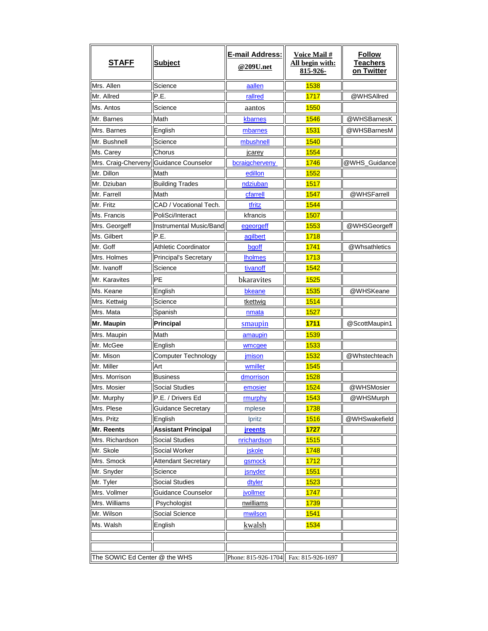| <b>STAFF</b>                  | <b>Subject</b>                         | <b>E-mail Address:</b><br>@209U.net | <b>Voice Mail#</b><br>All begin with:<br>815-926- | <b>Follow</b><br>Teachers<br>on Twitter |
|-------------------------------|----------------------------------------|-------------------------------------|---------------------------------------------------|-----------------------------------------|
| Mrs. Allen                    | Science                                | aallen                              | 1538                                              |                                         |
| Mr. Allred                    | P.E.                                   | rallred                             | 1717                                              | @WHSAllred                              |
| Ms. Antos                     | Science                                | aantos                              | 1550                                              |                                         |
| Mr. Barnes                    | Math                                   | kbarnes                             | 1546                                              | @WHSBarnesK                             |
| Mrs. Barnes                   | English                                | mbarnes                             | 1531                                              | @WHSBarnesM                             |
| Mr. Bushnell                  | Science                                | mbushnell                           | 1540                                              |                                         |
| Ms. Carey                     | Chorus                                 | jcarey                              | 1554                                              |                                         |
|                               | Mrs. Craig-Cherveny Guidance Counselor | bcraigcherveny                      | 1746                                              | @WHS_Guidance                           |
| Mr. Dillon                    | Math                                   | edillon                             | <b>1552</b>                                       |                                         |
| Mr. Dziuban                   | <b>Building Trades</b>                 | ndziuban                            | 1517                                              |                                         |
| Mr. Farrell                   | Math                                   | cfarrell                            | 1547                                              | @WHSFarrell                             |
| Mr. Fritz                     | CAD / Vocational Tech.                 | tfritz                              | 1544                                              |                                         |
| Ms. Francis                   | PoliSci/Interact                       | kfrancis                            | 1507                                              |                                         |
| Mrs. Georgeff                 | Instrumental Music/Band                | <u>egeorgeff</u>                    | 1553                                              | @WHSGeorgeff                            |
| Ms. Gilbert                   | P.E.                                   | agilbert                            | 1718                                              |                                         |
| Mr. Goff                      | <b>Athletic Coordinator</b>            | bgoff                               | 1741                                              | @Whsathletics                           |
| Mrs. Holmes                   | <b>Principal's Secretary</b>           | <b>Iholmes</b>                      | 1713                                              |                                         |
| Mr. Ivanoff                   | Science                                | tivanoff                            | 1542                                              |                                         |
| Mr. Karavites                 | PE                                     | bkaravites                          | 1525                                              |                                         |
| Ms. Keane                     | English                                | bkeane                              | 1535                                              | @WHSKeane                               |
| Mrs. Kettwig                  | Science                                | tkettwig                            | <b>1514</b>                                       |                                         |
| Mrs. Mata                     | Spanish                                | <u>nmata</u>                        | 1527                                              |                                         |
| Mr. Maupin                    | Principal                              | smaupin                             | 1711                                              | @ScottMaupin1                           |
| Mrs. Maupin                   | Math                                   | amaupin                             | 1539                                              |                                         |
| Mr. McGee                     | English                                | wmcgee                              | 1533                                              |                                         |
| Mr. Mison                     | Computer Technology                    | imison                              | 1532                                              | @Whstechteach                           |
| Mr. Miller                    | Art                                    | wmiller                             | 1545                                              |                                         |
| Mrs. Morrison                 | <b>Business</b>                        | dmorrison                           | 1528                                              |                                         |
| Mrs. Mosier                   | <b>Social Studies</b>                  | emosier                             | 1524                                              | @WHSMosier                              |
| Mr. Murphy                    | P.E. / Drivers Ed                      | rmurphy                             | 1543                                              | @WHSMurph                               |
| Mrs. Plese                    | <b>Guidance Secretary</b>              | mplese                              | 1738                                              |                                         |
| Mrs. Pritz                    | English                                | <b>lpritz</b>                       | 1516                                              | @WHSwakefield                           |
| Mr. Reents                    | <b>Assistant Principal</b>             | <b>jreents</b>                      | 1727                                              |                                         |
| Mrs. Richardson               | <b>Social Studies</b>                  | nrichardson                         | 1515                                              |                                         |
| Mr. Skole                     | Social Worker                          | <u>jskole</u>                       | <b>1748</b>                                       |                                         |
| Mrs. Smock                    | <b>Attendant Secretary</b>             | gsmock                              | 1712                                              |                                         |
| Mr. Snyder                    | Science                                | jsnyder                             | 1551                                              |                                         |
| Mr. Tyler                     | <b>Social Studies</b>                  | dtyler                              | 1523                                              |                                         |
| Mrs. Vollmer                  | Guidance Counselor                     | jvollmer                            | 1747                                              |                                         |
| Mrs. Williams                 | Psychologist                           | nwilliams                           | 1739                                              |                                         |
| Mr. Wilson                    | Social Science                         | mwilson                             | 1541                                              |                                         |
| Ms. Walsh                     | English                                | kwalsh                              | 1534                                              |                                         |
|                               |                                        |                                     |                                                   |                                         |
| The SOWIC Ed Center @ the WHS |                                        | Phone: 815-926-1704                 | Fax: 815-926-1697                                 |                                         |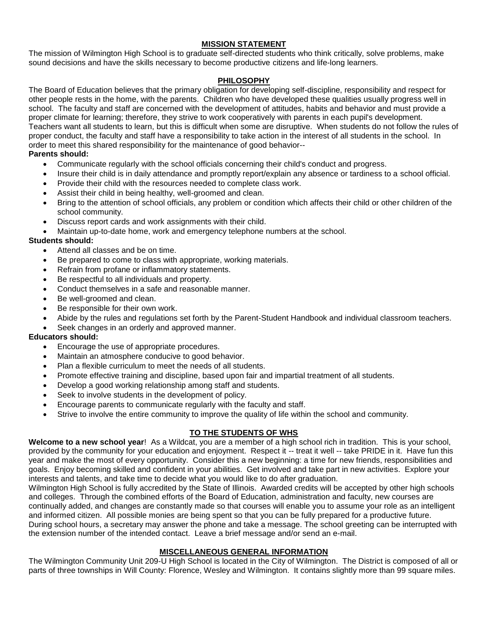# **MISSION STATEMENT**

The mission of Wilmington High School is to graduate self-directed students who think critically, solve problems, make sound decisions and have the skills necessary to become productive citizens and life-long learners.

#### **PHILOSOPHY**

The Board of Education believes that the primary obligation for developing self-discipline, responsibility and respect for other people rests in the home, with the parents. Children who have developed these qualities usually progress well in school. The faculty and staff are concerned with the development of attitudes, habits and behavior and must provide a proper climate for learning; therefore, they strive to work cooperatively with parents in each pupil's development. Teachers want all students to learn, but this is difficult when some are disruptive. When students do not follow the rules of proper conduct, the faculty and staff have a responsibility to take action in the interest of all students in the school. In order to meet this shared responsibility for the maintenance of good behavior--

#### **Parents should:**

- Communicate regularly with the school officials concerning their child's conduct and progress.
- Insure their child is in daily attendance and promptly report/explain any absence or tardiness to a school official.
- Provide their child with the resources needed to complete class work.
- Assist their child in being healthy, well-groomed and clean.
- Bring to the attention of school officials, any problem or condition which affects their child or other children of the school community.
- Discuss report cards and work assignments with their child.
- Maintain up-to-date home, work and emergency telephone numbers at the school.

# **Students should:**

- Attend all classes and be on time.
- Be prepared to come to class with appropriate, working materials.
- Refrain from profane or inflammatory statements.
- Be respectful to all individuals and property.
- Conduct themselves in a safe and reasonable manner.
- Be well-groomed and clean.
- Be responsible for their own work.
- Abide by the rules and regulations set forth by the Parent-Student Handbook and individual classroom teachers.
- Seek changes in an orderly and approved manner.

#### **Educators should:**

- Encourage the use of appropriate procedures.
- Maintain an atmosphere conducive to good behavior.
- Plan a flexible curriculum to meet the needs of all students.
- Promote effective training and discipline, based upon fair and impartial treatment of all students.
- Develop a good working relationship among staff and students.
- Seek to involve students in the development of policy.
- Encourage parents to communicate regularly with the faculty and staff.
- Strive to involve the entire community to improve the quality of life within the school and community.

## **TO THE STUDENTS OF WHS**

**Welcome to a new school year**! As a Wildcat, you are a member of a high school rich in tradition. This is your school, provided by the community for your education and enjoyment. Respect it -- treat it well -- take PRIDE in it. Have fun this year and make the most of every opportunity. Consider this a new beginning: a time for new friends, responsibilities and goals. Enjoy becoming skilled and confident in your abilities. Get involved and take part in new activities. Explore your interests and talents, and take time to decide what you would like to do after graduation.

Wilmington High School is fully accredited by the State of Illinois. Awarded credits will be accepted by other high schools and colleges. Through the combined efforts of the Board of Education, administration and faculty, new courses are continually added, and changes are constantly made so that courses will enable you to assume your role as an intelligent and informed citizen. All possible monies are being spent so that you can be fully prepared for a productive future. During school hours, a secretary may answer the phone and take a message. The school greeting can be interrupted with the extension number of the intended contact. Leave a brief message and/or send an e-mail.

## **MISCELLANEOUS GENERAL INFORMATION**

The Wilmington Community Unit 209-U High School is located in the City of Wilmington. The District is composed of all or parts of three townships in Will County: Florence, Wesley and Wilmington. It contains slightly more than 99 square miles.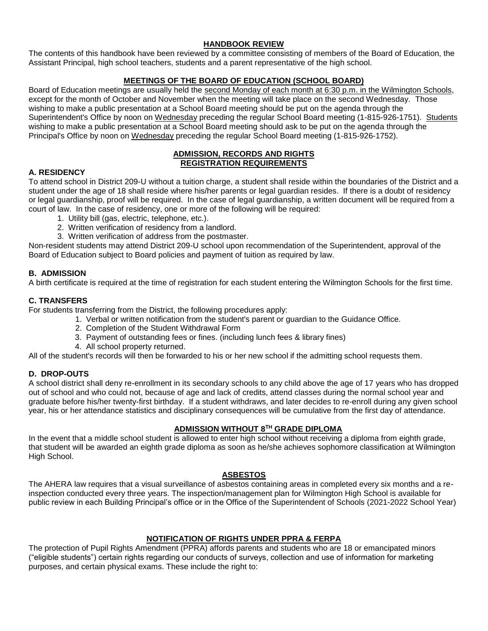# **HANDBOOK REVIEW**

The contents of this handbook have been reviewed by a committee consisting of members of the Board of Education, the Assistant Principal, high school teachers, students and a parent representative of the high school.

# **MEETINGS OF THE BOARD OF EDUCATION (SCHOOL BOARD)**

Board of Education meetings are usually held the second Monday of each month at 6:30 p.m. in the Wilmington Schools, except for the month of October and November when the meeting will take place on the second Wednesday. Those wishing to make a public presentation at a School Board meeting should be put on the agenda through the Superintendent's Office by noon on Wednesday preceding the regular School Board meeting (1-815-926-1751). Students wishing to make a public presentation at a School Board meeting should ask to be put on the agenda through the Principal's Office by noon on Wednesday preceding the regular School Board meeting (1-815-926-1752).

#### **ADMISSION, RECORDS AND RIGHTS REGISTRATION REQUIREMENTS**

## **A. RESIDENCY**

To attend school in District 209-U without a tuition charge, a student shall reside within the boundaries of the District and a student under the age of 18 shall reside where his/her parents or legal guardian resides. If there is a doubt of residency or legal guardianship, proof will be required. In the case of legal guardianship, a written document will be required from a court of law. In the case of residency, one or more of the following will be required:

- 1. Utility bill (gas, electric, telephone, etc.).
- 2. Written verification of residency from a landlord.
- 3. Written verification of address from the postmaster.

Non-resident students may attend District 209-U school upon recommendation of the Superintendent, approval of the Board of Education subject to Board policies and payment of tuition as required by law.

## **B. ADMISSION**

A birth certificate is required at the time of registration for each student entering the Wilmington Schools for the first time.

## **C. TRANSFERS**

For students transferring from the District, the following procedures apply:

- 1. Verbal or written notification from the student's parent or guardian to the Guidance Office.
- 2. Completion of the Student Withdrawal Form
- 3. Payment of outstanding fees or fines. (including lunch fees & library fines)
- 4. All school property returned.

All of the student's records will then be forwarded to his or her new school if the admitting school requests them.

## **D. DROP-OUTS**

A school district shall deny re-enrollment in its secondary schools to any child above the age of 17 years who has dropped out of school and who could not, because of age and lack of credits, attend classes during the normal school year and graduate before his/her twenty-first birthday. If a student withdraws, and later decides to re-enroll during any given school year, his or her attendance statistics and disciplinary consequences will be cumulative from the first day of attendance.

# **ADMISSION WITHOUT 8TH GRADE DIPLOMA**

In the event that a middle school student is allowed to enter high school without receiving a diploma from eighth grade, that student will be awarded an eighth grade diploma as soon as he/she achieves sophomore classification at Wilmington High School.

## **ASBESTOS**

The AHERA law requires that a visual surveillance of asbestos containing areas in completed every six months and a reinspection conducted every three years. The inspection/management plan for Wilmington High School is available for public review in each Building Principal's office or in the Office of the Superintendent of Schools (2021-2022 School Year)

## **NOTIFICATION OF RIGHTS UNDER PPRA & FERPA**

The protection of Pupil Rights Amendment (PPRA) affords parents and students who are 18 or emancipated minors ("eligible students") certain rights regarding our conducts of surveys, collection and use of information for marketing purposes, and certain physical exams. These include the right to: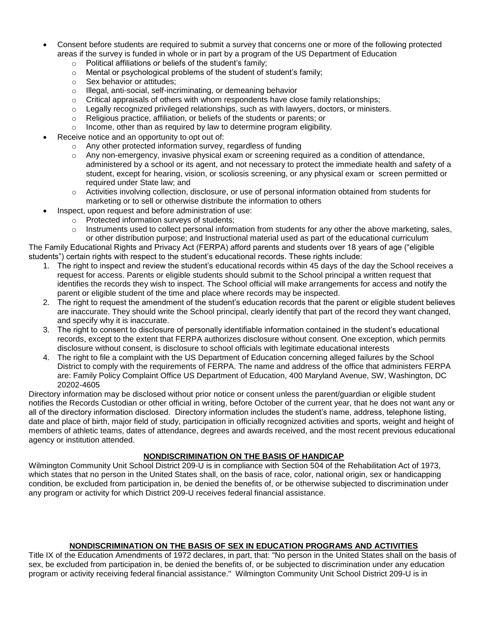- Consent before students are required to submit a survey that concerns one or more of the following protected areas if the survey is funded in whole or in part by a program of the US Department of Education
	- o Political affiliations or beliefs of the student's family;
	- o Mental or psychological problems of the student of student's family;
	- o Sex behavior or attitudes;
	- o Illegal, anti-social, self-incriminating, or demeaning behavior
	- $\circ$  Critical appraisals of others with whom respondents have close family relationships;
	- $\circ$  Legally recognized privileged relationships, such as with lawyers, doctors, or ministers.
	- o Religious practice, affiliation, or beliefs of the students or parents; or
	- o Income, other than as required by law to determine program eligibility.
- Receive notice and an opportunity to opt out of:
	- o Any other protected information survey, regardless of funding
	- $\circ$  Any non-emergency, invasive physical exam or screening required as a condition of attendance, administered by a school or its agent, and not necessary to protect the immediate health and safety of a student, except for hearing, vision, or scoliosis screening, or any physical exam or screen permitted or required under State law; and
	- $\circ$  Activities involving collection, disclosure, or use of personal information obtained from students for marketing or to sell or otherwise distribute the information to others
- Inspect, upon request and before administration of use:
	- o Protected information surveys of students;
		- $\circ$  Instruments used to collect personal information from students for any other the above marketing, sales, or other distribution purpose; and Instructional material used as part of the educational curriculum

The Family Educational Rights and Privacy Act (FERPA) afford parents and students over 18 years of age ("eligible students") certain rights with respect to the student's educational records. These rights include:

- 1. The right to inspect and review the student's educational records within 45 days of the day the School receives a request for access. Parents or eligible students should submit to the School principal a written request that identifies the records they wish to inspect. The School official will make arrangements for access and notify the parent or eligible student of the time and place where records may be inspected.
- 2. The right to request the amendment of the student's education records that the parent or eligible student believes are inaccurate. They should write the School principal, clearly identify that part of the record they want changed, and specify why it is inaccurate.
- 3. The right to consent to disclosure of personally identifiable information contained in the student's educational records, except to the extent that FERPA authorizes disclosure without consent. One exception, which permits disclosure without consent, is disclosure to school officials with legitimate educational interests
- 4. The right to file a complaint with the US Department of Education concerning alleged failures by the School District to comply with the requirements of FERPA. The name and address of the office that administers FERPA are: Family Policy Complaint Office US Department of Education, 400 Maryland Avenue, SW, Washington, DC 20202-4605

Directory information may be disclosed without prior notice or consent unless the parent/guardian or eligible student notifies the Records Custodian or other official in writing, before October of the current year, that he does not want any or all of the directory information disclosed. Directory information includes the student's name, address, telephone listing, date and place of birth, major field of study, participation in officially recognized activities and sports, weight and height of members of athletic teams, dates of attendance, degrees and awards received, and the most recent previous educational agency or institution attended.

#### **NONDISCRIMINATION ON THE BASIS OF HANDICAP**

Wilmington Community Unit School District 209-U is in compliance with Section 504 of the Rehabilitation Act of 1973, which states that no person in the United States shall, on the basis of race, color, national origin, sex or handicapping condition, be excluded from participation in, be denied the benefits of, or be otherwise subjected to discrimination under any program or activity for which District 209-U receives federal financial assistance.

#### **NONDISCRIMINATION ON THE BASIS OF SEX IN EDUCATION PROGRAMS AND ACTIVITIES**

Title IX of the Education Amendments of 1972 declares, in part, that: "No person in the United States shall on the basis of sex, be excluded from participation in, be denied the benefits of, or be subjected to discrimination under any education program or activity receiving federal financial assistance." Wilmington Community Unit School District 209-U is in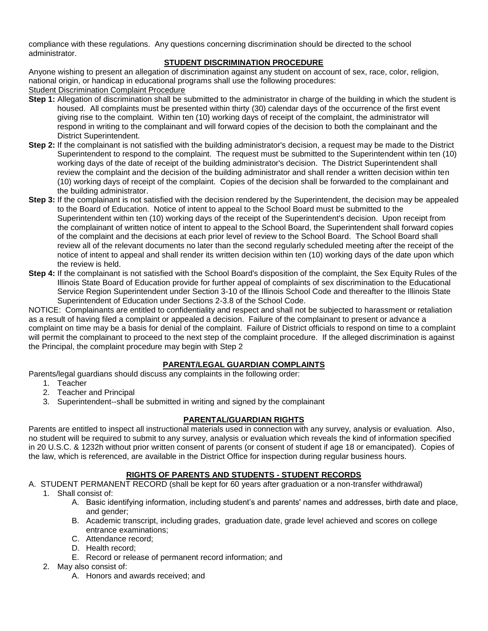compliance with these regulations. Any questions concerning discrimination should be directed to the school administrator.

## **STUDENT DISCRIMINATION PROCEDURE**

Anyone wishing to present an allegation of discrimination against any student on account of sex, race, color, religion, national origin, or handicap in educational programs shall use the following procedures: Student Discrimination Complaint Procedure

- **Step 1:** Allegation of discrimination shall be submitted to the administrator in charge of the building in which the student is housed. All complaints must be presented within thirty (30) calendar days of the occurrence of the first event giving rise to the complaint. Within ten (10) working days of receipt of the complaint, the administrator will respond in writing to the complainant and will forward copies of the decision to both the complainant and the District Superintendent.
- **Step 2:** If the complainant is not satisfied with the building administrator's decision, a request may be made to the District Superintendent to respond to the complaint. The request must be submitted to the Superintendent within ten (10) working days of the date of receipt of the building administrator's decision. The District Superintendent shall review the complaint and the decision of the building administrator and shall render a written decision within ten (10) working days of receipt of the complaint. Copies of the decision shall be forwarded to the complainant and the building administrator.
- **Step 3:** If the complainant is not satisfied with the decision rendered by the Superintendent, the decision may be appealed to the Board of Education. Notice of intent to appeal to the School Board must be submitted to the Superintendent within ten (10) working days of the receipt of the Superintendent's decision. Upon receipt from the complainant of written notice of intent to appeal to the School Board, the Superintendent shall forward copies of the complaint and the decisions at each prior level of review to the School Board. The School Board shall review all of the relevant documents no later than the second regularly scheduled meeting after the receipt of the notice of intent to appeal and shall render its written decision within ten (10) working days of the date upon which the review is held.
- **Step 4:** If the complainant is not satisfied with the School Board's disposition of the complaint, the Sex Equity Rules of the Illinois State Board of Education provide for further appeal of complaints of sex discrimination to the Educational Service Region Superintendent under Section 3-10 of the Illinois School Code and thereafter to the Illinois State Superintendent of Education under Sections 2-3.8 of the School Code.

NOTICE: Complainants are entitled to confidentiality and respect and shall not be subjected to harassment or retaliation as a result of having filed a complaint or appealed a decision. Failure of the complainant to present or advance a complaint on time may be a basis for denial of the complaint. Failure of District officials to respond on time to a complaint will permit the complainant to proceed to the next step of the complaint procedure. If the alleged discrimination is against the Principal, the complaint procedure may begin with Step 2

## **PARENT/LEGAL GUARDIAN COMPLAINTS**

Parents/legal guardians should discuss any complaints in the following order:

- 1. Teacher
- 2. Teacher and Principal
- 3. Superintendent--shall be submitted in writing and signed by the complainant

## **PARENTAL/GUARDIAN RIGHTS**

Parents are entitled to inspect all instructional materials used in connection with any survey, analysis or evaluation. Also, no student will be required to submit to any survey, analysis or evaluation which reveals the kind of information specified in 20 U.S.C. & 1232h without prior written consent of parents (or consent of student if age 18 or emancipated). Copies of the law, which is referenced, are available in the District Office for inspection during regular business hours.

## **RIGHTS OF PARENTS AND STUDENTS - STUDENT RECORDS**

- A. STUDENT PERMANENT RECORD (shall be kept for 60 years after graduation or a non-transfer withdrawal)
	- 1. Shall consist of:
		- A. Basic identifying information, including student's and parents' names and addresses, birth date and place, and gender;
		- B. Academic transcript, including grades, graduation date, grade level achieved and scores on college entrance examinations;
		- C. Attendance record;
		- D. Health record;
		- E. Record or release of permanent record information; and
	- 2. May also consist of:
		- A. Honors and awards received; and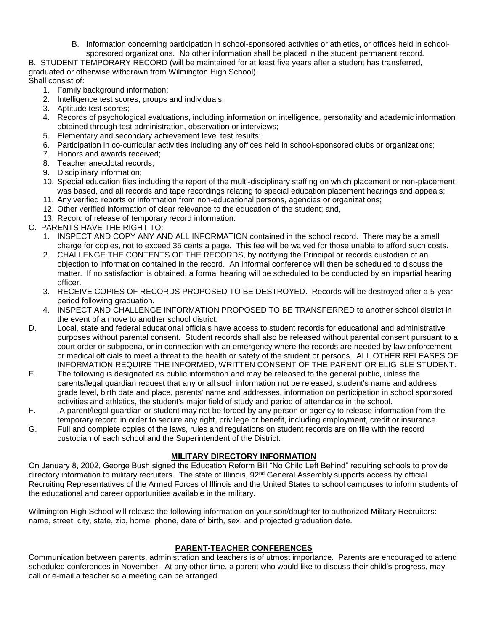B. Information concerning participation in school-sponsored activities or athletics, or offices held in schoolsponsored organizations. No other information shall be placed in the student permanent record.

B. STUDENT TEMPORARY RECORD (will be maintained for at least five years after a student has transferred, graduated or otherwise withdrawn from Wilmington High School).

Shall consist of:

- 1. Family background information;
- 2. Intelligence test scores, groups and individuals;
- 3. Aptitude test scores;
- 4. Records of psychological evaluations, including information on intelligence, personality and academic information obtained through test administration, observation or interviews;
- 5. Elementary and secondary achievement level test results;
- 6. Participation in co-curricular activities including any offices held in school-sponsored clubs or organizations;
- 7. Honors and awards received;
- 8. Teacher anecdotal records;
- 9. Disciplinary information;
- 10. Special education files including the report of the multi-disciplinary staffing on which placement or non-placement was based, and all records and tape recordings relating to special education placement hearings and appeals;
- 11. Any verified reports or information from non-educational persons, agencies or organizations;
- 12. Other verified information of clear relevance to the education of the student; and,
- 13. Record of release of temporary record information.
- C. PARENTS HAVE THE RIGHT TO:
	- 1. INSPECT AND COPY ANY AND ALL INFORMATION contained in the school record. There may be a small charge for copies, not to exceed 35 cents a page. This fee will be waived for those unable to afford such costs.
	- 2. CHALLENGE THE CONTENTS OF THE RECORDS, by notifying the Principal or records custodian of an objection to information contained in the record. An informal conference will then be scheduled to discuss the matter. If no satisfaction is obtained, a formal hearing will be scheduled to be conducted by an impartial hearing officer.
	- 3. RECEIVE COPIES OF RECORDS PROPOSED TO BE DESTROYED. Records will be destroyed after a 5-year period following graduation.
	- 4. INSPECT AND CHALLENGE INFORMATION PROPOSED TO BE TRANSFERRED to another school district in the event of a move to another school district.
- D. Local, state and federal educational officials have access to student records for educational and administrative purposes without parental consent. Student records shall also be released without parental consent pursuant to a court order or subpoena, or in connection with an emergency where the records are needed by law enforcement or medical officials to meet a threat to the health or safety of the student or persons. ALL OTHER RELEASES OF INFORMATION REQUIRE THE INFORMED, WRITTEN CONSENT OF THE PARENT OR ELIGIBLE STUDENT.
- E. The following is designated as public information and may be released to the general public, unless the parents/legal guardian request that any or all such information not be released, student's name and address, grade level, birth date and place, parents' name and addresses, information on participation in school sponsored activities and athletics, the student's major field of study and period of attendance in the school.
- F. A parent/legal guardian or student may not be forced by any person or agency to release information from the temporary record in order to secure any right, privilege or benefit, including employment, credit or insurance.
- G. Full and complete copies of the laws, rules and regulations on student records are on file with the record custodian of each school and the Superintendent of the District.

## **MILITARY DIRECTORY INFORMATION**

On January 8, 2002, George Bush signed the Education Reform Bill "No Child Left Behind" requiring schools to provide directory information to military recruiters. The state of Illinois, 92<sup>nd</sup> General Assembly supports access by official Recruiting Representatives of the Armed Forces of Illinois and the United States to school campuses to inform students of the educational and career opportunities available in the military.

Wilmington High School will release the following information on your son/daughter to authorized Military Recruiters: name, street, city, state, zip, home, phone, date of birth, sex, and projected graduation date.

# **PARENT-TEACHER CONFERENCES**

Communication between parents, administration and teachers is of utmost importance. Parents are encouraged to attend scheduled conferences in November. At any other time, a parent who would like to discuss their child's progress, may call or e-mail a teacher so a meeting can be arranged.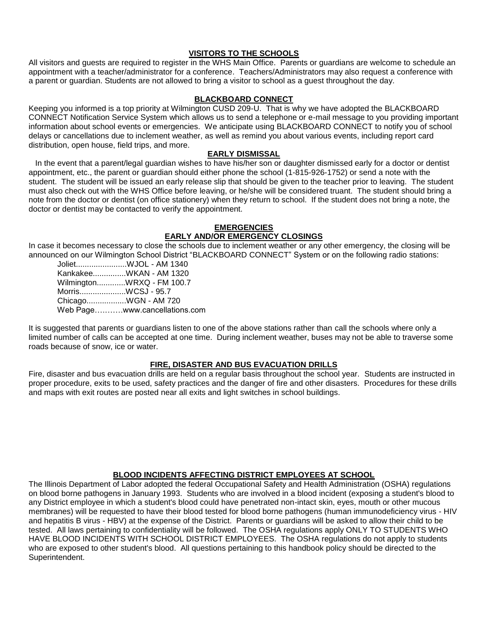#### **VISITORS TO THE SCHOOLS**

All visitors and guests are required to register in the WHS Main Office. Parents or guardians are welcome to schedule an appointment with a teacher/administrator for a conference. Teachers/Administrators may also request a conference with a parent or guardian. Students are not allowed to bring a visitor to school as a guest throughout the day.

## **BLACKBOARD CONNECT**

Keeping you informed is a top priority at Wilmington CUSD 209-U. That is why we have adopted the BLACKBOARD CONNECT Notification Service System which allows us to send a telephone or e-mail message to you providing important information about school events or emergencies. We anticipate using BLACKBOARD CONNECT to notify you of school delays or cancellations due to inclement weather, as well as remind you about various events, including report card distribution, open house, field trips, and more.

#### **EARLY DISMISSAL**

 In the event that a parent/legal guardian wishes to have his/her son or daughter dismissed early for a doctor or dentist appointment, etc., the parent or guardian should either phone the school (1-815-926-1752) or send a note with the student. The student will be issued an early release slip that should be given to the teacher prior to leaving. The student must also check out with the WHS Office before leaving, or he/she will be considered truant. The student should bring a note from the doctor or dentist (on office stationery) when they return to school. If the student does not bring a note, the doctor or dentist may be contacted to verify the appointment.

#### **EMERGENCIES**

#### **EARLY AND/OR EMERGENCY CLOSINGS**

In case it becomes necessary to close the schools due to inclement weather or any other emergency, the closing will be announced on our Wilmington School District "BLACKBOARD CONNECT" System or on the following radio stations:

Joliet.......................WJOL - AM 1340 Kankakee...............WKAN - AM 1320 Wilmington.............WRXQ - FM 100.7 Morris.....................WCSJ - 95.7 Chicago..................WGN - AM 720 Web Page….…….www.cancellations.com

It is suggested that parents or guardians listen to one of the above stations rather than call the schools where only a limited number of calls can be accepted at one time. During inclement weather, buses may not be able to traverse some roads because of snow, ice or water.

#### **FIRE, DISASTER AND BUS EVACUATION DRILLS**

Fire, disaster and bus evacuation drills are held on a regular basis throughout the school year. Students are instructed in proper procedure, exits to be used, safety practices and the danger of fire and other disasters. Procedures for these drills and maps with exit routes are posted near all exits and light switches in school buildings.

#### **BLOOD INCIDENTS AFFECTING DISTRICT EMPLOYEES AT SCHOOL**

The Illinois Department of Labor adopted the federal Occupational Safety and Health Administration (OSHA) regulations on blood borne pathogens in January 1993. Students who are involved in a blood incident (exposing a student's blood to any District employee in which a student's blood could have penetrated non-intact skin, eyes, mouth or other mucous membranes) will be requested to have their blood tested for blood borne pathogens (human immunodeficiency virus - HIV and hepatitis B virus - HBV) at the expense of the District. Parents or guardians will be asked to allow their child to be tested. All laws pertaining to confidentiality will be followed. The OSHA regulations apply ONLY TO STUDENTS WHO HAVE BLOOD INCIDENTS WITH SCHOOL DISTRICT EMPLOYEES. The OSHA regulations do not apply to students who are exposed to other student's blood. All questions pertaining to this handbook policy should be directed to the Superintendent.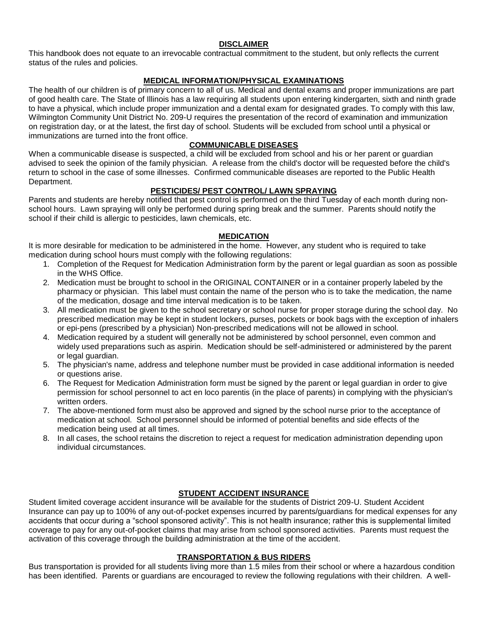#### **DISCLAIMER**

This handbook does not equate to an irrevocable contractual commitment to the student, but only reflects the current status of the rules and policies.

## **MEDICAL INFORMATION/PHYSICAL EXAMINATIONS**

The health of our children is of primary concern to all of us. Medical and dental exams and proper immunizations are part of good health care. The State of Illinois has a law requiring all students upon entering kindergarten, sixth and ninth grade to have a physical, which include proper immunization and a dental exam for designated grades. To comply with this law, Wilmington Community Unit District No. 209-U requires the presentation of the record of examination and immunization on registration day, or at the latest, the first day of school. Students will be excluded from school until a physical or immunizations are turned into the front office.

## **COMMUNICABLE DISEASES**

When a communicable disease is suspected, a child will be excluded from school and his or her parent or guardian advised to seek the opinion of the family physician. A release from the child's doctor will be requested before the child's return to school in the case of some illnesses. Confirmed communicable diseases are reported to the Public Health Department.

#### **PESTICIDES/ PEST CONTROL/ LAWN SPRAYING**

Parents and students are hereby notified that pest control is performed on the third Tuesday of each month during nonschool hours. Lawn spraying will only be performed during spring break and the summer. Parents should notify the school if their child is allergic to pesticides, lawn chemicals, etc.

#### **MEDICATION**

It is more desirable for medication to be administered in the home. However, any student who is required to take medication during school hours must comply with the following regulations:

- 1. Completion of the Request for Medication Administration form by the parent or legal guardian as soon as possible in the WHS Office.
- 2. Medication must be brought to school in the ORIGINAL CONTAINER or in a container properly labeled by the pharmacy or physician. This label must contain the name of the person who is to take the medication, the name of the medication, dosage and time interval medication is to be taken.
- 3. All medication must be given to the school secretary or school nurse for proper storage during the school day. No prescribed medication may be kept in student lockers, purses, pockets or book bags with the exception of inhalers or epi-pens (prescribed by a physician) Non-prescribed medications will not be allowed in school.
- 4. Medication required by a student will generally not be administered by school personnel, even common and widely used preparations such as aspirin. Medication should be self-administered or administered by the parent or legal guardian.
- 5. The physician's name, address and telephone number must be provided in case additional information is needed or questions arise.
- 6. The Request for Medication Administration form must be signed by the parent or legal guardian in order to give permission for school personnel to act en loco parentis (in the place of parents) in complying with the physician's written orders.
- 7. The above-mentioned form must also be approved and signed by the school nurse prior to the acceptance of medication at school. School personnel should be informed of potential benefits and side effects of the medication being used at all times.
- 8. In all cases, the school retains the discretion to reject a request for medication administration depending upon individual circumstances.

## **STUDENT ACCIDENT INSURANCE**

Student limited coverage accident insurance will be available for the students of District 209-U. Student Accident Insurance can pay up to 100% of any out-of-pocket expenses incurred by parents/guardians for medical expenses for any accidents that occur during a "school sponsored activity". This is not health insurance; rather this is supplemental limited coverage to pay for any out-of-pocket claims that may arise from school sponsored activities. Parents must request the activation of this coverage through the building administration at the time of the accident.

#### **TRANSPORTATION & BUS RIDERS**

Bus transportation is provided for all students living more than 1.5 miles from their school or where a hazardous condition has been identified. Parents or guardians are encouraged to review the following regulations with their children. A well-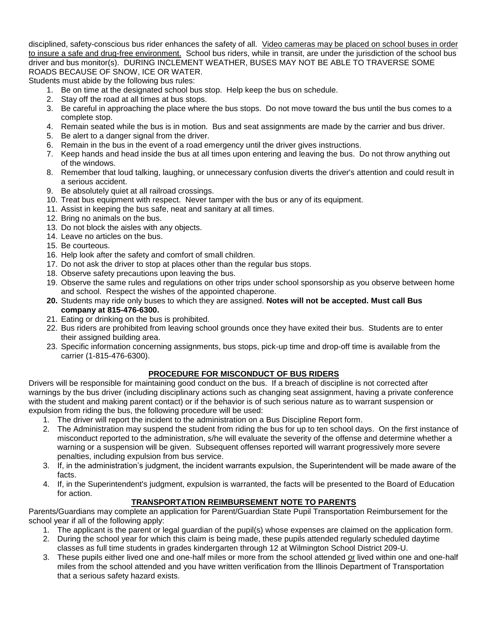disciplined, safety-conscious bus rider enhances the safety of all. Video cameras may be placed on school buses in order to insure a safe and drug-free environment. School bus riders, while in transit, are under the jurisdiction of the school bus driver and bus monitor(s). DURING INCLEMENT WEATHER, BUSES MAY NOT BE ABLE TO TRAVERSE SOME ROADS BECAUSE OF SNOW, ICE OR WATER.

Students must abide by the following bus rules:

- 1. Be on time at the designated school bus stop. Help keep the bus on schedule.
- 2. Stay off the road at all times at bus stops.
- 3. Be careful in approaching the place where the bus stops. Do not move toward the bus until the bus comes to a complete stop.
- 4. Remain seated while the bus is in motion. Bus and seat assignments are made by the carrier and bus driver.
- 5. Be alert to a danger signal from the driver.
- 6. Remain in the bus in the event of a road emergency until the driver gives instructions.
- 7. Keep hands and head inside the bus at all times upon entering and leaving the bus. Do not throw anything out of the windows.
- 8. Remember that loud talking, laughing, or unnecessary confusion diverts the driver's attention and could result in a serious accident.
- 9. Be absolutely quiet at all railroad crossings.
- 10. Treat bus equipment with respect. Never tamper with the bus or any of its equipment.
- 11. Assist in keeping the bus safe, neat and sanitary at all times.
- 12. Bring no animals on the bus.
- 13. Do not block the aisles with any objects.
- 14. Leave no articles on the bus.
- 15. Be courteous.
- 16. Help look after the safety and comfort of small children.
- 17. Do not ask the driver to stop at places other than the regular bus stops.
- 18. Observe safety precautions upon leaving the bus.
- 19. Observe the same rules and regulations on other trips under school sponsorship as you observe between home and school. Respect the wishes of the appointed chaperone.
- **20.** Students may ride only buses to which they are assigned. **Notes will not be accepted. Must call Bus company at 815-476-6300.**
- 21. Eating or drinking on the bus is prohibited.
- 22. Bus riders are prohibited from leaving school grounds once they have exited their bus. Students are to enter their assigned building area.
- 23. Specific information concerning assignments, bus stops, pick-up time and drop-off time is available from the carrier (1-815-476-6300).

## **PROCEDURE FOR MISCONDUCT OF BUS RIDERS**

Drivers will be responsible for maintaining good conduct on the bus. If a breach of discipline is not corrected after warnings by the bus driver (including disciplinary actions such as changing seat assignment, having a private conference with the student and making parent contact) or if the behavior is of such serious nature as to warrant suspension or expulsion from riding the bus, the following procedure will be used:

- 1. The driver will report the incident to the administration on a Bus Discipline Report form.
- 2. The Administration may suspend the student from riding the bus for up to ten school days. On the first instance of misconduct reported to the administration, s/he will evaluate the severity of the offense and determine whether a warning or a suspension will be given. Subsequent offenses reported will warrant progressively more severe penalties, including expulsion from bus service.
- 3. If, in the administration's judgment, the incident warrants expulsion, the Superintendent will be made aware of the facts.
- 4. If, in the Superintendent's judgment, expulsion is warranted, the facts will be presented to the Board of Education for action.

## **TRANSPORTATION REIMBURSEMENT NOTE TO PARENTS**

Parents/Guardians may complete an application for Parent/Guardian State Pupil Transportation Reimbursement for the school year if all of the following apply:

- 1. The applicant is the parent or legal guardian of the pupil(s) whose expenses are claimed on the application form.
- 2. During the school year for which this claim is being made, these pupils attended regularly scheduled daytime classes as full time students in grades kindergarten through 12 at Wilmington School District 209-U.
- 3. These pupils either lived one and one-half miles or more from the school attended or lived within one and one-half miles from the school attended and you have written verification from the Illinois Department of Transportation that a serious safety hazard exists.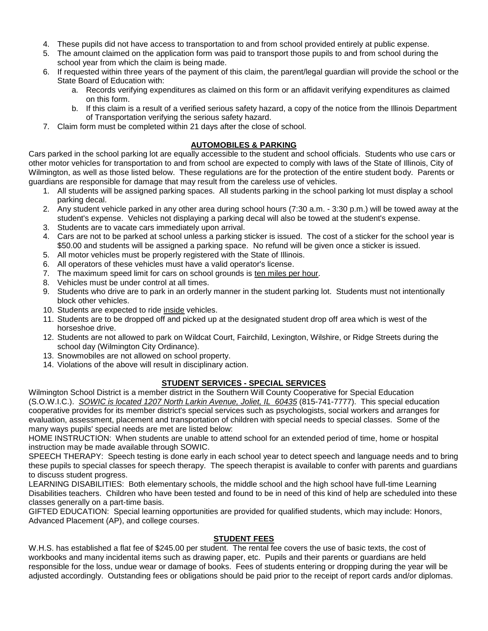- 4. These pupils did not have access to transportation to and from school provided entirely at public expense.
- 5. The amount claimed on the application form was paid to transport those pupils to and from school during the school year from which the claim is being made.
- 6. If requested within three years of the payment of this claim, the parent/legal guardian will provide the school or the State Board of Education with:
	- a. Records verifying expenditures as claimed on this form or an affidavit verifying expenditures as claimed on this form.
	- b. If this claim is a result of a verified serious safety hazard, a copy of the notice from the Illinois Department of Transportation verifying the serious safety hazard.
- 7. Claim form must be completed within 21 days after the close of school.

# **AUTOMOBILES & PARKING**

Cars parked in the school parking lot are equally accessible to the student and school officials. Students who use cars or other motor vehicles for transportation to and from school are expected to comply with laws of the State of Illinois, City of Wilmington, as well as those listed below. These regulations are for the protection of the entire student body. Parents or guardians are responsible for damage that may result from the careless use of vehicles.

- 1. All students will be assigned parking spaces. All students parking in the school parking lot must display a school parking decal.
- 2. Any student vehicle parked in any other area during school hours (7:30 a.m. 3:30 p.m.) will be towed away at the student's expense. Vehicles not displaying a parking decal will also be towed at the student's expense.
- 3. Students are to vacate cars immediately upon arrival.
- 4. Cars are not to be parked at school unless a parking sticker is issued. The cost of a sticker for the school year is \$50.00 and students will be assigned a parking space. No refund will be given once a sticker is issued.
- 5. All motor vehicles must be properly registered with the State of Illinois.
- 6. All operators of these vehicles must have a valid operator's license.
- 7. The maximum speed limit for cars on school grounds is ten miles per hour.
- 8. Vehicles must be under control at all times.
- 9. Students who drive are to park in an orderly manner in the student parking lot. Students must not intentionally block other vehicles.
- 10. Students are expected to ride inside vehicles.
- 11. Students are to be dropped off and picked up at the designated student drop off area which is west of the horseshoe drive.
- 12. Students are not allowed to park on Wildcat Court, Fairchild, Lexington, Wilshire, or Ridge Streets during the school day (Wilmington City Ordinance).
- 13. Snowmobiles are not allowed on school property.
- 14. Violations of the above will result in disciplinary action.

# **STUDENT SERVICES - SPECIAL SERVICES**

Wilmington School District is a member district in the Southern Will County Cooperative for Special Education (S.O.W.I.C.). *SOWIC is located 1207 North Larkin Avenue, Joliet, IL 60435* (815-741-7777). This special education cooperative provides for its member district's special services such as psychologists, social workers and arranges for evaluation, assessment, placement and transportation of children with special needs to special classes. Some of the many ways pupils' special needs are met are listed below:

HOME INSTRUCTION: When students are unable to attend school for an extended period of time, home or hospital instruction may be made available through SOWIC.

SPEECH THERAPY: Speech testing is done early in each school year to detect speech and language needs and to bring these pupils to special classes for speech therapy. The speech therapist is available to confer with parents and guardians to discuss student progress.

LEARNING DISABILITIES: Both elementary schools, the middle school and the high school have full-time Learning Disabilities teachers. Children who have been tested and found to be in need of this kind of help are scheduled into these classes generally on a part-time basis.

GIFTED EDUCATION: Special learning opportunities are provided for qualified students, which may include: Honors, Advanced Placement (AP), and college courses.

## **STUDENT FEES**

W.H.S. has established a flat fee of \$245.00 per student. The rental fee covers the use of basic texts, the cost of workbooks and many incidental items such as drawing paper, etc. Pupils and their parents or guardians are held responsible for the loss, undue wear or damage of books. Fees of students entering or dropping during the year will be adjusted accordingly. Outstanding fees or obligations should be paid prior to the receipt of report cards and/or diplomas.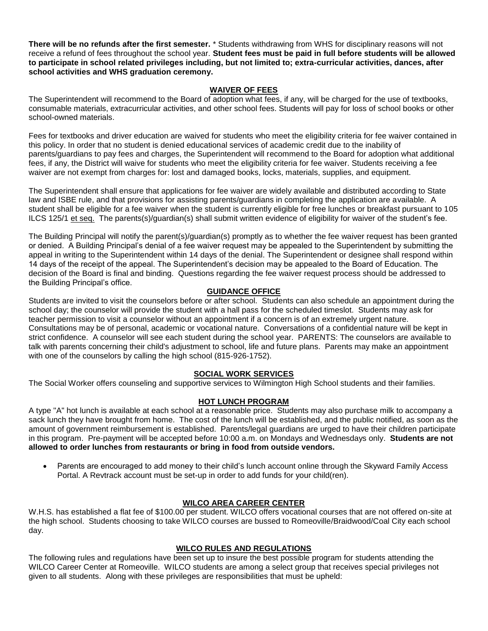**There will be no refunds after the first semester.** \* Students withdrawing from WHS for disciplinary reasons will not receive a refund of fees throughout the school year. **Student fees must be paid in full before students will be allowed to participate in school related privileges including, but not limited to; extra-curricular activities, dances, after school activities and WHS graduation ceremony.**

#### **WAIVER OF FEES**

The Superintendent will recommend to the Board of adoption what fees, if any, will be charged for the use of textbooks, consumable materials, extracurricular activities, and other school fees. Students will pay for loss of school books or other school-owned materials.

Fees for textbooks and driver education are waived for students who meet the eligibility criteria for fee waiver contained in this policy. In order that no student is denied educational services of academic credit due to the inability of parents/guardians to pay fees and charges, the Superintendent will recommend to the Board for adoption what additional fees, if any, the District will waive for students who meet the eligibility criteria for fee waiver. Students receiving a fee waiver are not exempt from charges for: lost and damaged books, locks, materials, supplies, and equipment.

The Superintendent shall ensure that applications for fee waiver are widely available and distributed according to State law and ISBE rule, and that provisions for assisting parents/guardians in completing the application are available. A student shall be eligible for a fee waiver when the student is currently eligible for free lunches or breakfast pursuant to 105 ILCS 125/1 et seq. The parents(s)/guardian(s) shall submit written evidence of eligibility for waiver of the student's fee.

The Building Principal will notify the parent(s)/guardian(s) promptly as to whether the fee waiver request has been granted or denied. A Building Principal's denial of a fee waiver request may be appealed to the Superintendent by submitting the appeal in writing to the Superintendent within 14 days of the denial. The Superintendent or designee shall respond within 14 days of the receipt of the appeal. The Superintendent's decision may be appealed to the Board of Education. The decision of the Board is final and binding. Questions regarding the fee waiver request process should be addressed to the Building Principal's office.

## **GUIDANCE OFFICE**

Students are invited to visit the counselors before or after school. Students can also schedule an appointment during the school day; the counselor will provide the student with a hall pass for the scheduled timeslot. Students may ask for teacher permission to visit a counselor without an appointment if a concern is of an extremely urgent nature. Consultations may be of personal, academic or vocational nature. Conversations of a confidential nature will be kept in strict confidence. A counselor will see each student during the school year. PARENTS: The counselors are available to talk with parents concerning their child's adjustment to school, life and future plans. Parents may make an appointment with one of the counselors by calling the high school (815-926-1752).

## **SOCIAL WORK SERVICES**

The Social Worker offers counseling and supportive services to Wilmington High School students and their families.

## **HOT LUNCH PROGRAM**

A type "A" hot lunch is available at each school at a reasonable price. Students may also purchase milk to accompany a sack lunch they have brought from home. The cost of the lunch will be established, and the public notified, as soon as the amount of government reimbursement is established. Parents/legal guardians are urged to have their children participate in this program. Pre-payment will be accepted before 10:00 a.m. on Mondays and Wednesdays only. **Students are not allowed to order lunches from restaurants or bring in food from outside vendors.**

• Parents are encouraged to add money to their child's lunch account online through the Skyward Family Access Portal. A Revtrack account must be set-up in order to add funds for your child(ren).

## **WILCO AREA CAREER CENTER**

W.H.S. has established a flat fee of \$100.00 per student. WILCO offers vocational courses that are not offered on-site at the high school. Students choosing to take WILCO courses are bussed to Romeoville/Braidwood/Coal City each school day.

## **WILCO RULES AND REGULATIONS**

The following rules and regulations have been set up to insure the best possible program for students attending the WILCO Career Center at Romeoville. WILCO students are among a select group that receives special privileges not given to all students. Along with these privileges are responsibilities that must be upheld: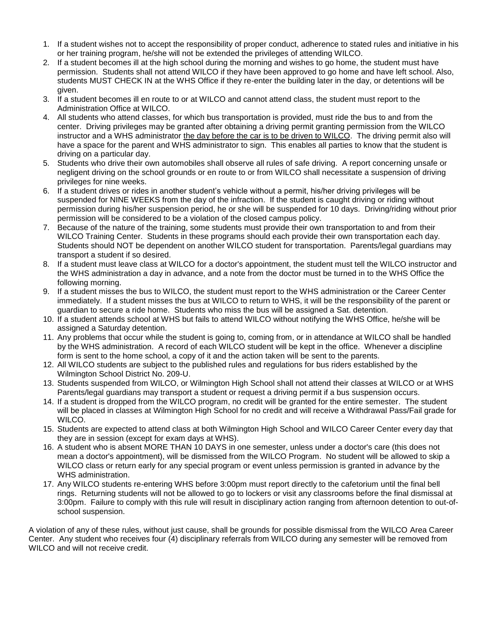- 1. If a student wishes not to accept the responsibility of proper conduct, adherence to stated rules and initiative in his or her training program, he/she will not be extended the privileges of attending WILCO.
- 2. If a student becomes ill at the high school during the morning and wishes to go home, the student must have permission. Students shall not attend WILCO if they have been approved to go home and have left school. Also, students MUST CHECK IN at the WHS Office if they re-enter the building later in the day, or detentions will be given.
- 3. If a student becomes ill en route to or at WILCO and cannot attend class, the student must report to the Administration Office at WILCO.
- 4. All students who attend classes, for which bus transportation is provided, must ride the bus to and from the center. Driving privileges may be granted after obtaining a driving permit granting permission from the WILCO instructor and a WHS administrator the day before the car is to be driven to WILCO. The driving permit also will have a space for the parent and WHS administrator to sign. This enables all parties to know that the student is driving on a particular day.
- 5. Students who drive their own automobiles shall observe all rules of safe driving. A report concerning unsafe or negligent driving on the school grounds or en route to or from WILCO shall necessitate a suspension of driving privileges for nine weeks.
- 6. If a student drives or rides in another student's vehicle without a permit, his/her driving privileges will be suspended for NINE WEEKS from the day of the infraction. If the student is caught driving or riding without permission during his/her suspension period, he or she will be suspended for 10 days. Driving/riding without prior permission will be considered to be a violation of the closed campus policy.
- 7. Because of the nature of the training, some students must provide their own transportation to and from their WILCO Training Center. Students in these programs should each provide their own transportation each day. Students should NOT be dependent on another WILCO student for transportation. Parents/legal guardians may transport a student if so desired.
- 8. If a student must leave class at WILCO for a doctor's appointment, the student must tell the WILCO instructor and the WHS administration a day in advance, and a note from the doctor must be turned in to the WHS Office the following morning.
- 9. If a student misses the bus to WILCO, the student must report to the WHS administration or the Career Center immediately. If a student misses the bus at WILCO to return to WHS, it will be the responsibility of the parent or guardian to secure a ride home. Students who miss the bus will be assigned a Sat. detention.
- 10. If a student attends school at WHS but fails to attend WILCO without notifying the WHS Office, he/she will be assigned a Saturday detention.
- 11. Any problems that occur while the student is going to, coming from, or in attendance at WILCO shall be handled by the WHS administration. A record of each WILCO student will be kept in the office. Whenever a discipline form is sent to the home school, a copy of it and the action taken will be sent to the parents.
- 12. All WILCO students are subject to the published rules and regulations for bus riders established by the Wilmington School District No. 209-U.
- 13. Students suspended from WILCO, or Wilmington High School shall not attend their classes at WILCO or at WHS Parents/legal guardians may transport a student or request a driving permit if a bus suspension occurs.
- 14. If a student is dropped from the WILCO program, no credit will be granted for the entire semester. The student will be placed in classes at Wilmington High School for no credit and will receive a Withdrawal Pass/Fail grade for WILCO.
- 15. Students are expected to attend class at both Wilmington High School and WILCO Career Center every day that they are in session (except for exam days at WHS).
- 16. A student who is absent MORE THAN 10 DAYS in one semester, unless under a doctor's care (this does not mean a doctor's appointment), will be dismissed from the WILCO Program. No student will be allowed to skip a WILCO class or return early for any special program or event unless permission is granted in advance by the WHS administration.
- 17. Any WILCO students re-entering WHS before 3:00pm must report directly to the cafetorium until the final bell rings. Returning students will not be allowed to go to lockers or visit any classrooms before the final dismissal at 3:00pm. Failure to comply with this rule will result in disciplinary action ranging from afternoon detention to out-ofschool suspension.

A violation of any of these rules, without just cause, shall be grounds for possible dismissal from the WILCO Area Career Center. Any student who receives four (4) disciplinary referrals from WILCO during any semester will be removed from WILCO and will not receive credit.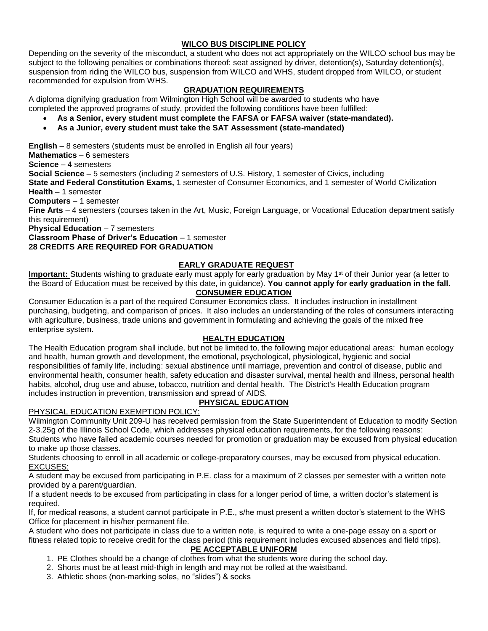# **WILCO BUS DISCIPLINE POLICY**

Depending on the severity of the misconduct, a student who does not act appropriately on the WILCO school bus may be subject to the following penalties or combinations thereof: seat assigned by driver, detention(s), Saturday detention(s), suspension from riding the WILCO bus, suspension from WILCO and WHS, student dropped from WILCO, or student recommended for expulsion from WHS.

# **GRADUATION REQUIREMENTS**

A diploma dignifying graduation from Wilmington High School will be awarded to students who have completed the approved programs of study, provided the following conditions have been fulfilled:

- **As a Senior, every student must complete the FAFSA or FAFSA waiver (state-mandated).**
- **As a Junior, every student must take the SAT Assessment (state-mandated)**

**English** – 8 semesters (students must be enrolled in English all four years)

**Mathematics** – 6 semesters

**Science** – 4 semesters

**Social Science** – 5 semesters (including 2 semesters of U.S. History, 1 semester of Civics, including

**State and Federal Constitution Exams,** 1 semester of Consumer Economics, and 1 semester of World Civilization **Health** – 1 semester

**Computers** – 1 semester

**Fine Arts** – 4 semesters (courses taken in the Art, Music, Foreign Language, or Vocational Education department satisfy this requirement)

**Physical Education** – 7 semesters

**Classroom Phase of Driver's Education** – 1 semester

**28 CREDITS ARE REQUIRED FOR GRADUATION**

# **EARLY GRADUATE REQUEST**

**Important:** Students wishing to graduate early must apply for early graduation by May 1<sup>st</sup> of their Junior year (a letter to the Board of Education must be received by this date, in guidance). **You cannot apply for early graduation in the fall. CONSUMER EDUCATION**

Consumer Education is a part of the required Consumer Economics class. It includes instruction in installment purchasing, budgeting, and comparison of prices. It also includes an understanding of the roles of consumers interacting with agriculture, business, trade unions and government in formulating and achieving the goals of the mixed free enterprise system.

# **HEALTH EDUCATION**

The Health Education program shall include, but not be limited to, the following major educational areas: human ecology and health, human growth and development, the emotional, psychological, physiological, hygienic and social responsibilities of family life, including: sexual abstinence until marriage, prevention and control of disease, public and environmental health, consumer health, safety education and disaster survival, mental health and illness, personal health habits, alcohol, drug use and abuse, tobacco, nutrition and dental health. The District's Health Education program includes instruction in prevention, transmission and spread of AIDS.

# **PHYSICAL EDUCATION**

PHYSICAL EDUCATION EXEMPTION POLICY:

Wilmington Community Unit 209-U has received permission from the State Superintendent of Education to modify Section 2-3.25g of the Illinois School Code, which addresses physical education requirements, for the following reasons:

Students who have failed academic courses needed for promotion or graduation may be excused from physical education to make up those classes.

Students choosing to enroll in all academic or college-preparatory courses, may be excused from physical education. EXCUSES:

A student may be excused from participating in P.E. class for a maximum of 2 classes per semester with a written note provided by a parent/guardian.

If a student needs to be excused from participating in class for a longer period of time, a written doctor's statement is required.

If, for medical reasons, a student cannot participate in P.E., s/he must present a written doctor's statement to the WHS Office for placement in his/her permanent file.

A student who does not participate in class due to a written note, is required to write a one-page essay on a sport or fitness related topic to receive credit for the class period (this requirement includes excused absences and field trips).

## **PE ACCEPTABLE UNIFORM**

- 1. PE Clothes should be a change of clothes from what the students wore during the school day.
- 2. Shorts must be at least mid-thigh in length and may not be rolled at the waistband.
- 3. Athletic shoes (non-marking soles, no "slides") & socks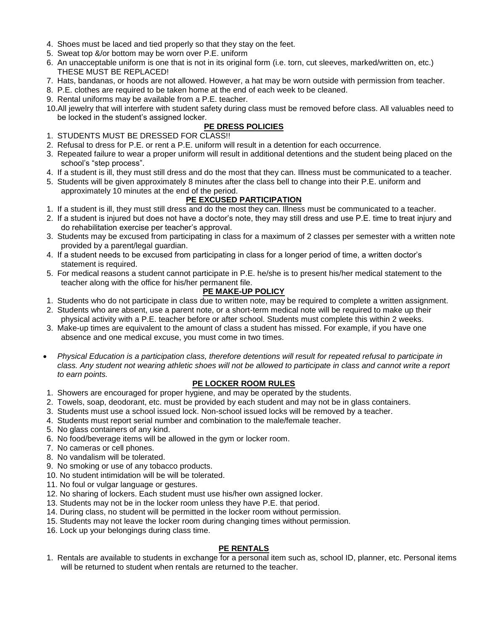- 4. Shoes must be laced and tied properly so that they stay on the feet.
- 5. Sweat top &/or bottom may be worn over P.E. uniform
- 6. An unacceptable uniform is one that is not in its original form (i.e. torn, cut sleeves, marked/written on, etc.) THESE MUST BE REPLACED!
- 7. Hats, bandanas, or hoods are not allowed. However, a hat may be worn outside with permission from teacher.
- 8. P.E. clothes are required to be taken home at the end of each week to be cleaned.
- 9. Rental uniforms may be available from a P.E. teacher.
- 10.All jewelry that will interfere with student safety during class must be removed before class. All valuables need to be locked in the student's assigned locker.

# **PE DRESS POLICIES**

- 1. STUDENTS MUST BE DRESSED FOR CLASS!!
- 2. Refusal to dress for P.E. or rent a P.E. uniform will result in a detention for each occurrence.
- 3. Repeated failure to wear a proper uniform will result in additional detentions and the student being placed on the school's "step process".
- 4. If a student is ill, they must still dress and do the most that they can. Illness must be communicated to a teacher.
- 5. Students will be given approximately 8 minutes after the class bell to change into their P.E. uniform and approximately 10 minutes at the end of the period.

## **PE EXCUSED PARTICIPATION**

- 1. If a student is ill, they must still dress and do the most they can. Illness must be communicated to a teacher.
- 2. If a student is injured but does not have a doctor's note, they may still dress and use P.E. time to treat injury and do rehabilitation exercise per teacher's approval.
- 3. Students may be excused from participating in class for a maximum of 2 classes per semester with a written note provided by a parent/legal guardian.
- 4. If a student needs to be excused from participating in class for a longer period of time, a written doctor's statement is required.
- 5. For medical reasons a student cannot participate in P.E. he/she is to present his/her medical statement to the teacher along with the office for his/her permanent file.

# **PE MAKE-UP POLICY**

- 1. Students who do not participate in class due to written note, may be required to complete a written assignment.
- 2. Students who are absent, use a parent note, or a short-term medical note will be required to make up their physical activity with a P.E. teacher before or after school. Students must complete this within 2 weeks.
- 3. Make-up times are equivalent to the amount of class a student has missed. For example, if you have one absence and one medical excuse, you must come in two times.
- *Physical Education is a participation class, therefore detentions will result for repeated refusal to participate in class. Any student not wearing athletic shoes will not be allowed to participate in class and cannot write a report to earn points.*

## **PE LOCKER ROOM RULES**

- 1. Showers are encouraged for proper hygiene, and may be operated by the students.
- 2. Towels, soap, deodorant, etc. must be provided by each student and may not be in glass containers.
- 3. Students must use a school issued lock. Non-school issued locks will be removed by a teacher.
- 4. Students must report serial number and combination to the male/female teacher.
- 5. No glass containers of any kind.
- 6. No food/beverage items will be allowed in the gym or locker room.
- 7. No cameras or cell phones.
- 8. No vandalism will be tolerated.
- 9. No smoking or use of any tobacco products.
- 10. No student intimidation will be will be tolerated.
- 11. No foul or vulgar language or gestures.
- 12. No sharing of lockers. Each student must use his/her own assigned locker.
- 13. Students may not be in the locker room unless they have P.E. that period.
- 14. During class, no student will be permitted in the locker room without permission.
- 15. Students may not leave the locker room during changing times without permission.
- 16. Lock up your belongings during class time.

## **PE RENTALS**

1. Rentals are available to students in exchange for a personal item such as, school ID, planner, etc. Personal items will be returned to student when rentals are returned to the teacher.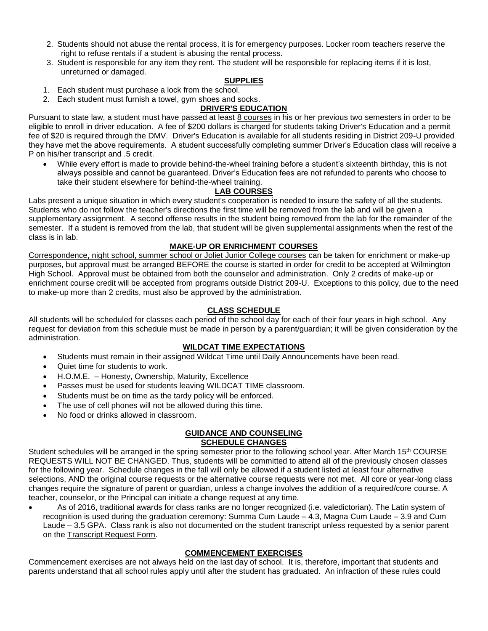- 2. Students should not abuse the rental process, it is for emergency purposes. Locker room teachers reserve the right to refuse rentals if a student is abusing the rental process.
- 3. Student is responsible for any item they rent. The student will be responsible for replacing items if it is lost, unreturned or damaged.

## **SUPPLIES**

- 1. Each student must purchase a lock from the school.
- 2. Each student must furnish a towel, gym shoes and socks.

# **DRIVER'S EDUCATION**

Pursuant to state law, a student must have passed at least 8 courses in his or her previous two semesters in order to be eligible to enroll in driver education. A fee of \$200 dollars is charged for students taking Driver's Education and a permit fee of \$20 is required through the DMV. Driver's Education is available for all students residing in District 209-U provided they have met the above requirements. A student successfully completing summer Driver's Education class will receive a P on his/her transcript and .5 credit.

• While every effort is made to provide behind-the-wheel training before a student's sixteenth birthday, this is not always possible and cannot be guaranteed. Driver's Education fees are not refunded to parents who choose to take their student elsewhere for behind-the-wheel training.

## **LAB COURSES**

Labs present a unique situation in which every student's cooperation is needed to insure the safety of all the students. Students who do not follow the teacher's directions the first time will be removed from the lab and will be given a supplementary assignment. A second offense results in the student being removed from the lab for the remainder of the semester. If a student is removed from the lab, that student will be given supplemental assignments when the rest of the class is in lab.

## **MAKE-UP OR ENRICHMENT COURSES**

Correspondence, night school, summer school or Joliet Junior College courses can be taken for enrichment or make-up purposes, but approval must be arranged BEFORE the course is started in order for credit to be accepted at Wilmington High School. Approval must be obtained from both the counselor and administration. Only 2 credits of make-up or enrichment course credit will be accepted from programs outside District 209-U. Exceptions to this policy, due to the need to make-up more than 2 credits, must also be approved by the administration.

## **CLASS SCHEDULE**

All students will be scheduled for classes each period of the school day for each of their four years in high school. Any request for deviation from this schedule must be made in person by a parent/guardian; it will be given consideration by the administration.

#### **WILDCAT TIME EXPECTATIONS**

- Students must remain in their assigned Wildcat Time until Daily Announcements have been read.
- Quiet time for students to work.
- H.O.M.E. Honesty, Ownership, Maturity, Excellence
- Passes must be used for students leaving WILDCAT TIME classroom.
- Students must be on time as the tardy policy will be enforced.
- The use of cell phones will not be allowed during this time.
- No food or drinks allowed in classroom.

#### **GUIDANCE AND COUNSELING SCHEDULE CHANGES**

Student schedules will be arranged in the spring semester prior to the following school year. After March 15<sup>th</sup> COURSE REQUESTS WILL NOT BE CHANGED. Thus, students will be committed to attend all of the previously chosen classes for the following year. Schedule changes in the fall will only be allowed if a student listed at least four alternative selections, AND the original course requests or the alternative course requests were not met. All core or year-long class changes require the signature of parent or guardian, unless a change involves the addition of a required/core course. A teacher, counselor, or the Principal can initiate a change request at any time.

• As of 2016, traditional awards for class ranks are no longer recognized (i.e. valedictorian). The Latin system of recognition is used during the graduation ceremony: Summa Cum Laude – 4.3, Magna Cum Laude – 3.9 and Cum Laude – 3.5 GPA. Class rank is also not documented on the student transcript unless requested by a senior parent on the Transcript Request Form.

## **COMMENCEMENT EXERCISES**

Commencement exercises are not always held on the last day of school. It is, therefore, important that students and parents understand that all school rules apply until after the student has graduated. An infraction of these rules could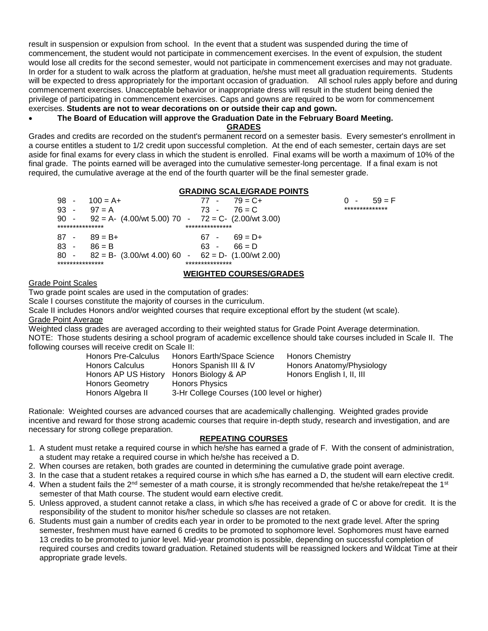result in suspension or expulsion from school. In the event that a student was suspended during the time of commencement, the student would not participate in commencement exercises. In the event of expulsion, the student would lose all credits for the second semester, would not participate in commencement exercises and may not graduate. In order for a student to walk across the platform at graduation, he/she must meet all graduation requirements. Students will be expected to dress appropriately for the important occasion of graduation. All school rules apply before and during commencement exercises. Unacceptable behavior or inappropriate dress will result in the student being denied the privilege of participating in commencement exercises. Caps and gowns are required to be worn for commencement exercises. **Students are not to wear decorations on or outside their cap and gown.**

#### • **The Board of Education will approve the Graduation Date in the February Board Meeting.**

**GRADES**

Grades and credits are recorded on the student's permanent record on a semester basis. Every semester's enrollment in a course entitles a student to 1/2 credit upon successful completion. At the end of each semester, certain days are set aside for final exams for every class in which the student is enrolled. Final exams will be worth a maximum of 10% of the final grade. The points earned will be averaged into the cumulative semester-long percentage. If a final exam is not required, the cumulative average at the end of the fourth quarter will be the final semester grade.

#### **GRADING SCALE/GRADE POINTS**

| 98 -            | $100 = A +$                                            | 77 -            | $79 = C +$ | $59 = F$<br>$\sim$ |
|-----------------|--------------------------------------------------------|-----------------|------------|--------------------|
| $93 -$          | $97 = A$                                               | 73 -            | $76 = C$   | **************     |
| $90 -$          | $92 = A - (4.00/wt 5.00) 70 - 72 = C - (2.00/wt 3.00)$ |                 |            |                    |
| *************** |                                                        | *************** |            |                    |
| 87 -            | $89 = B +$                                             | 67 -            | $69 = D+$  |                    |
| 83 -            | $86 = B$                                               | 63 -            | $66 = D$   |                    |
| 80 -            | $82 = B - (3.00/wt 4.00) 60 - 62 = D - (1.00/wt 2.00)$ |                 |            |                    |
| *************** |                                                        | *************** |            |                    |
|                 |                                                        |                 |            |                    |

#### **WEIGHTED COURSES/GRADES**

#### Grade Point Scales

Two grade point scales are used in the computation of grades:

Scale I courses constitute the majority of courses in the curriculum.

Scale II includes Honors and/or weighted courses that require exceptional effort by the student (wt scale).

Grade Point Average

Weighted class grades are averaged according to their weighted status for Grade Point Average determination. NOTE: Those students desiring a school program of academic excellence should take courses included in Scale II. The following courses will receive credit on Scale II:

| <b>Honors Pre-Calculus</b> | Honors Earth/Space Science                 | <b>Honors Chemistry</b>   |
|----------------------------|--------------------------------------------|---------------------------|
| <b>Honors Calculus</b>     | Honors Spanish III & IV                    | Honors Anatomy/Physiology |
| Honors AP US History       | Honors Biology & AP                        | Honors English I, II, III |
| <b>Honors Geometry</b>     | <b>Honors Physics</b>                      |                           |
| Honors Algebra II          | 3-Hr College Courses (100 level or higher) |                           |

Rationale: Weighted courses are advanced courses that are academically challenging. Weighted grades provide incentive and reward for those strong academic courses that require in-depth study, research and investigation, and are necessary for strong college preparation.

## **REPEATING COURSES**

- 1. A student must retake a required course in which he/she has earned a grade of F. With the consent of administration, a student may retake a required course in which he/she has received a D.
- 2. When courses are retaken, both grades are counted in determining the cumulative grade point average.
- 3. In the case that a student retakes a required course in which s/he has earned a D, the student will earn elective credit.
- 4. When a student fails the  $2^{nd}$  semester of a math course, it is strongly recommended that he/she retake/repeat the 1<sup>st</sup> semester of that Math course. The student would earn elective credit.
- 5. Unless approved, a student cannot retake a class, in which s/he has received a grade of C or above for credit. It is the responsibility of the student to monitor his/her schedule so classes are not retaken.
- 6. Students must gain a number of credits each year in order to be promoted to the next grade level. After the spring semester, freshmen must have earned 6 credits to be promoted to sophomore level. Sophomores must have earned 13 credits to be promoted to junior level. Mid-year promotion is possible, depending on successful completion of required courses and credits toward graduation. Retained students will be reassigned lockers and Wildcat Time at their appropriate grade levels.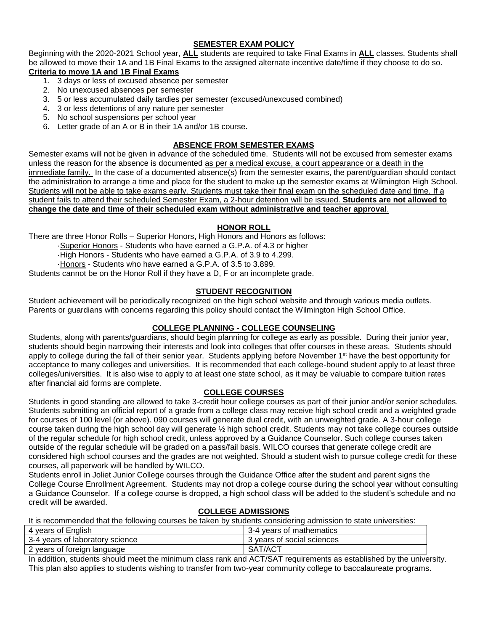# **SEMESTER EXAM POLICY**

Beginning with the 2020-2021 School year, **ALL** students are required to take Final Exams in **ALL** classes. Students shall be allowed to move their 1A and 1B Final Exams to the assigned alternate incentive date/time if they choose to do so.

# **Criteria to move 1A and 1B Final Exams**

- 1. 3 days or less of excused absence per semester
- 2. No unexcused absences per semester
- 3. 5 or less accumulated daily tardies per semester (excused/unexcused combined)
- 4. 3 or less detentions of any nature per semester
- 5. No school suspensions per school year
- 6. Letter grade of an A or B in their 1A and/or 1B course.

# **ABSENCE FROM SEMESTER EXAMS**

Semester exams will not be given in advance of the scheduled time. Students will not be excused from semester exams unless the reason for the absence is documented as per a medical excuse, a court appearance or a death in the immediate family. In the case of a documented absence(s) from the semester exams, the parent/guardian should contact the administration to arrange a time and place for the student to make up the semester exams at Wilmington High School. Students will not be able to take exams early. Students must take their final exam on the scheduled date and time. If a student fails to attend their scheduled Semester Exam, a 2-hour detention will be issued. **Students are not allowed to change the date and time of their scheduled exam without administrative and teacher approval**.

# **HONOR ROLL**

There are three Honor Rolls – Superior Honors, High Honors and Honors as follows:

·Superior Honors - Students who have earned a G.P.A. of 4.3 or higher

·High Honors - Students who have earned a G.P.A. of 3.9 to 4.299.

·Honors - Students who have earned a G.P.A. of 3.5 to 3.899.

Students cannot be on the Honor Roll if they have a D, F or an incomplete grade.

# **STUDENT RECOGNITION**

Student achievement will be periodically recognized on the high school website and through various media outlets. Parents or guardians with concerns regarding this policy should contact the Wilmington High School Office.

## **COLLEGE PLANNING - COLLEGE COUNSELING**

Students, along with parents/guardians, should begin planning for college as early as possible. During their junior year, students should begin narrowing their interests and look into colleges that offer courses in these areas. Students should apply to college during the fall of their senior year. Students applying before November 1<sup>st</sup> have the best opportunity for acceptance to many colleges and universities. It is recommended that each college-bound student apply to at least three colleges/universities. It is also wise to apply to at least one state school, as it may be valuable to compare tuition rates after financial aid forms are complete.

## **COLLEGE COURSES**

Students in good standing are allowed to take 3-credit hour college courses as part of their junior and/or senior schedules. Students submitting an official report of a grade from a college class may receive high school credit and a weighted grade for courses of 100 level (or above). 090 courses will generate dual credit, with an unweighted grade. A 3-hour college course taken during the high school day will generate ½ high school credit. Students may not take college courses outside of the regular schedule for high school credit, unless approved by a Guidance Counselor. Such college courses taken outside of the regular schedule will be graded on a pass/fail basis. WILCO courses that generate college credit are considered high school courses and the grades are not weighted. Should a student wish to pursue college credit for these courses, all paperwork will be handled by WILCO.

Students enroll in Joliet Junior College courses through the Guidance Office after the student and parent signs the College Course Enrollment Agreement. Students may not drop a college course during the school year without consulting a Guidance Counselor. If a college course is dropped, a high school class will be added to the student's schedule and no credit will be awarded.

# **COLLEGE ADMISSIONS**

It is recommended that the following courses be taken by students considering admission to state universities:

| 4 years of English              | 3-4 vears of mathematics   |
|---------------------------------|----------------------------|
| 3-4 years of laboratory science | 3 years of social sciences |
| 2 years of foreign language     | SAT/ACT                    |

In addition, students should meet the minimum class rank and ACT/SAT requirements as established by the university. This plan also applies to students wishing to transfer from two-year community college to baccalaureate programs.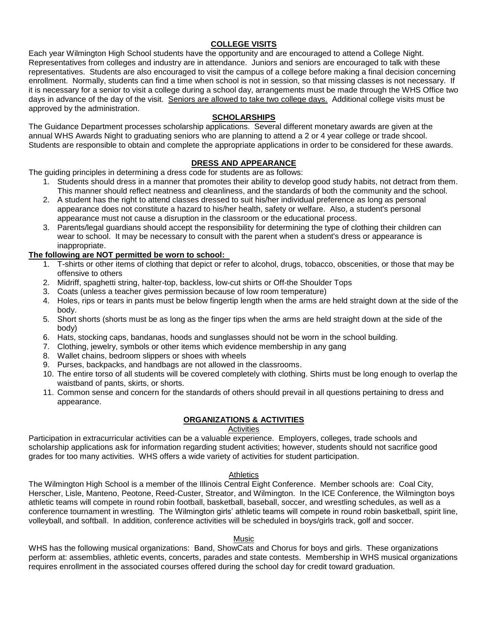# **COLLEGE VISITS**

Each year Wilmington High School students have the opportunity and are encouraged to attend a College Night. Representatives from colleges and industry are in attendance. Juniors and seniors are encouraged to talk with these representatives. Students are also encouraged to visit the campus of a college before making a final decision concerning enrollment. Normally, students can find a time when school is not in session, so that missing classes is not necessary. If it is necessary for a senior to visit a college during a school day, arrangements must be made through the WHS Office two days in advance of the day of the visit. Seniors are allowed to take two college days. Additional college visits must be approved by the administration.

#### **SCHOLARSHIPS**

The Guidance Department processes scholarship applications. Several different monetary awards are given at the annual WHS Awards Night to graduating seniors who are planning to attend a 2 or 4 year college or trade shcool. Students are responsible to obtain and complete the appropriate applications in order to be considered for these awards.

#### **DRESS AND APPEARANCE**

The guiding principles in determining a dress code for students are as follows:

- 1. Students should dress in a manner that promotes their ability to develop good study habits, not detract from them. This manner should reflect neatness and cleanliness, and the standards of both the community and the school.
- 2. A student has the right to attend classes dressed to suit his/her individual preference as long as personal appearance does not constitute a hazard to his/her health, safety or welfare. Also, a student's personal appearance must not cause a disruption in the classroom or the educational process.
- 3. Parents/legal guardians should accept the responsibility for determining the type of clothing their children can wear to school. It may be necessary to consult with the parent when a student's dress or appearance is inappropriate.

## **The following are NOT permitted be worn to school:**

- 1. T-shirts or other items of clothing that depict or refer to alcohol, drugs, tobacco, obscenities, or those that may be offensive to others
- 2. Midriff, spaghetti string, halter-top, backless, low-cut shirts or Off-the Shoulder Tops
- 3. Coats (unless a teacher gives permission because of low room temperature)
- 4. Holes, rips or tears in pants must be below fingertip length when the arms are held straight down at the side of the body.
- 5. Short shorts (shorts must be as long as the finger tips when the arms are held straight down at the side of the body)
- 6. Hats, stocking caps, bandanas, hoods and sunglasses should not be worn in the school building.
- 7. Clothing, jewelry, symbols or other items which evidence membership in any gang
- 8. Wallet chains, bedroom slippers or shoes with wheels
- 9. Purses, backpacks, and handbags are not allowed in the classrooms.
- 10. The entire torso of all students will be covered completely with clothing. Shirts must be long enough to overlap the waistband of pants, skirts, or shorts.
- 11. Common sense and concern for the standards of others should prevail in all questions pertaining to dress and appearance.

#### **ORGANIZATIONS & ACTIVITIES**

# Activities

Participation in extracurricular activities can be a valuable experience. Employers, colleges, trade schools and scholarship applications ask for information regarding student activities; however, students should not sacrifice good grades for too many activities. WHS offers a wide variety of activities for student participation.

#### **Athletics**

The Wilmington High School is a member of the Illinois Central Eight Conference. Member schools are: Coal City, Herscher, Lisle, Manteno, Peotone, Reed-Custer, Streator, and Wilmington. In the ICE Conference, the Wilmington boys athletic teams will compete in round robin football, basketball, baseball, soccer, and wrestling schedules, as well as a conference tournament in wrestling. The Wilmington girls' athletic teams will compete in round robin basketball, spirit line, volleyball, and softball. In addition, conference activities will be scheduled in boys/girls track, golf and soccer.

#### **Music**

WHS has the following musical organizations: Band, ShowCats and Chorus for boys and girls. These organizations perform at: assemblies, athletic events, concerts, parades and state contests. Membership in WHS musical organizations requires enrollment in the associated courses offered during the school day for credit toward graduation.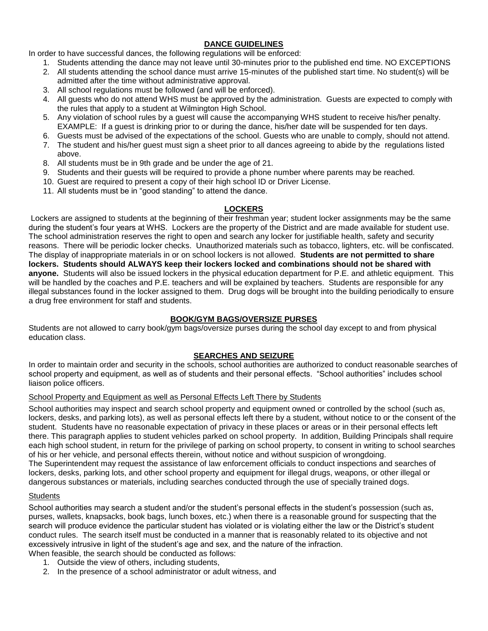# **DANCE GUIDELINES**

In order to have successful dances, the following regulations will be enforced:

- 1. Students attending the dance may not leave until 30-minutes prior to the published end time. NO EXCEPTIONS
- 2. All students attending the school dance must arrive 15-minutes of the published start time. No student(s) will be admitted after the time without administrative approval.
- 3. All school regulations must be followed (and will be enforced).
- 4. All guests who do not attend WHS must be approved by the administration. Guests are expected to comply with the rules that apply to a student at Wilmington High School.
- 5. Any violation of school rules by a guest will cause the accompanying WHS student to receive his/her penalty. EXAMPLE: If a guest is drinking prior to or during the dance, his/her date will be suspended for ten days.
- 6. Guests must be advised of the expectations of the school. Guests who are unable to comply, should not attend.
- 7. The student and his/her guest must sign a sheet prior to all dances agreeing to abide by the regulations listed above.
- 8. All students must be in 9th grade and be under the age of 21.
- 9. Students and their guests will be required to provide a phone number where parents may be reached.
- 10. Guest are required to present a copy of their high school ID or Driver License.
- 11. All students must be in "good standing" to attend the dance.

#### **LOCKERS**

Lockers are assigned to students at the beginning of their freshman year; student locker assignments may be the same during the student's four years at WHS. Lockers are the property of the District and are made available for student use. The school administration reserves the right to open and search any locker for justifiable health, safety and security reasons. There will be periodic locker checks. Unauthorized materials such as tobacco, lighters, etc. will be confiscated. The display of inappropriate materials in or on school lockers is not allowed. **Students are not permitted to share lockers. Students should ALWAYS keep their lockers locked and combinations should not be shared with anyone.** Students will also be issued lockers in the physical education department for P.E. and athletic equipment. This will be handled by the coaches and P.E. teachers and will be explained by teachers. Students are responsible for any illegal substances found in the locker assigned to them. Drug dogs will be brought into the building periodically to ensure a drug free environment for staff and students.

# **BOOK/GYM BAGS/OVERSIZE PURSES**

Students are not allowed to carry book/gym bags/oversize purses during the school day except to and from physical education class.

## **SEARCHES AND SEIZURE**

In order to maintain order and security in the schools, school authorities are authorized to conduct reasonable searches of school property and equipment, as well as of students and their personal effects. "School authorities" includes school liaison police officers.

#### School Property and Equipment as well as Personal Effects Left There by Students

School authorities may inspect and search school property and equipment owned or controlled by the school (such as, lockers, desks, and parking lots), as well as personal effects left there by a student, without notice to or the consent of the student. Students have no reasonable expectation of privacy in these places or areas or in their personal effects left there. This paragraph applies to student vehicles parked on school property. In addition, Building Principals shall require each high school student, in return for the privilege of parking on school property, to consent in writing to school searches of his or her vehicle, and personal effects therein, without notice and without suspicion of wrongdoing. The Superintendent may request the assistance of law enforcement officials to conduct inspections and searches of

lockers, desks, parking lots, and other school property and equipment for illegal drugs, weapons, or other illegal or dangerous substances or materials, including searches conducted through the use of specially trained dogs.

## **Students**

School authorities may search a student and/or the student's personal effects in the student's possession (such as, purses, wallets, knapsacks, book bags, lunch boxes, etc.) when there is a reasonable ground for suspecting that the search will produce evidence the particular student has violated or is violating either the law or the District's student conduct rules. The search itself must be conducted in a manner that is reasonably related to its objective and not excessively intrusive in light of the student's age and sex, and the nature of the infraction.

- When feasible, the search should be conducted as follows:
	- 1. Outside the view of others, including students,
	- 2. In the presence of a school administrator or adult witness, and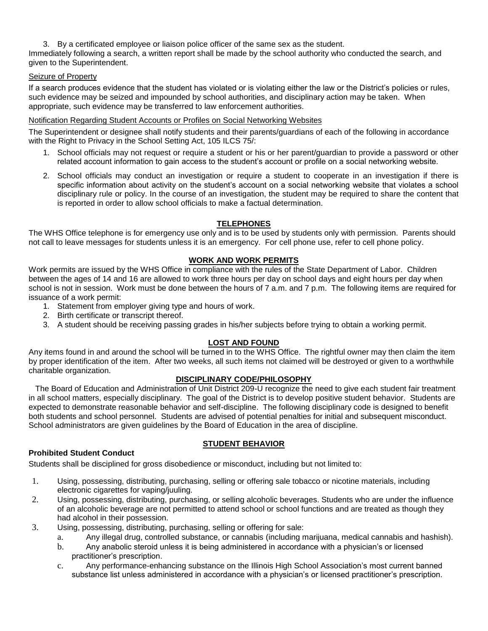3. By a certificated employee or liaison police officer of the same sex as the student.

Immediately following a search, a written report shall be made by the school authority who conducted the search, and given to the Superintendent.

## Seizure of Property

If a search produces evidence that the student has violated or is violating either the law or the District's policies or rules, such evidence may be seized and impounded by school authorities, and disciplinary action may be taken. When appropriate, such evidence may be transferred to law enforcement authorities.

## Notification Regarding Student Accounts or Profiles on Social Networking Websites

The Superintendent or designee shall notify students and their parents/guardians of each of the following in accordance with the Right to Privacy in the School Setting Act, 105 ILCS 75/:

- 1. School officials may not request or require a student or his or her parent/guardian to provide a password or other related account information to gain access to the student's account or profile on a social networking website.
- 2. School officials may conduct an investigation or require a student to cooperate in an investigation if there is specific information about activity on the student's account on a social networking website that violates a school disciplinary rule or policy. In the course of an investigation, the student may be required to share the content that is reported in order to allow school officials to make a factual determination.

## **TELEPHONES**

The WHS Office telephone is for emergency use only and is to be used by students only with permission. Parents should not call to leave messages for students unless it is an emergency. For cell phone use, refer to cell phone policy.

## **WORK AND WORK PERMITS**

Work permits are issued by the WHS Office in compliance with the rules of the State Department of Labor. Children between the ages of 14 and 16 are allowed to work three hours per day on school days and eight hours per day when school is not in session. Work must be done between the hours of 7 a.m. and 7 p.m. The following items are required for issuance of a work permit:

- 1. Statement from employer giving type and hours of work.
- 2. Birth certificate or transcript thereof.
- 3. A student should be receiving passing grades in his/her subjects before trying to obtain a working permit.

## **LOST AND FOUND**

Any items found in and around the school will be turned in to the WHS Office. The rightful owner may then claim the item by proper identification of the item. After two weeks, all such items not claimed will be destroyed or given to a worthwhile charitable organization.

## **DISCIPLINARY CODE/PHILOSOPHY**

 The Board of Education and Administration of Unit District 209-U recognize the need to give each student fair treatment in all school matters, especially disciplinary. The goal of the District is to develop positive student behavior. Students are expected to demonstrate reasonable behavior and self-discipline. The following disciplinary code is designed to benefit both students and school personnel. Students are advised of potential penalties for initial and subsequent misconduct. School administrators are given guidelines by the Board of Education in the area of discipline.

#### **STUDENT BEHAVIOR**

# **Prohibited Student Conduct**

Students shall be disciplined for gross disobedience or misconduct, including but not limited to:

- 1. Using, possessing, distributing, purchasing, selling or offering sale tobacco or nicotine materials, including electronic cigarettes for vaping/juuling.
- 2. Using, possessing, distributing, purchasing, or selling alcoholic beverages. Students who are under the influence of an alcoholic beverage are not permitted to attend school or school functions and are treated as though they had alcohol in their possession.
- 3. Using, possessing, distributing, purchasing, selling or offering for sale:
	- a. Any illegal drug, controlled substance, or cannabis (including marijuana, medical cannabis and hashish).
	- b. Any anabolic steroid unless it is being administered in accordance with a physician's or licensed practitioner's prescription.
	- c. Any performance-enhancing substance on the Illinois High School Association's most current banned substance list unless administered in accordance with a physician's or licensed practitioner's prescription.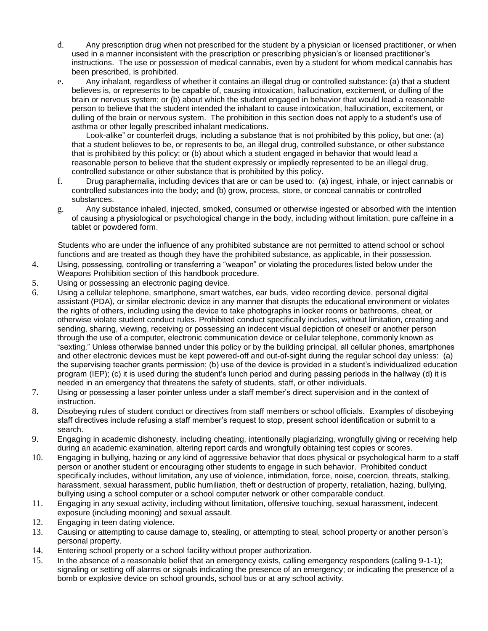- d. Any prescription drug when not prescribed for the student by a physician or licensed practitioner, or when used in a manner inconsistent with the prescription or prescribing physician's or licensed practitioner's instructions. The use or possession of medical cannabis, even by a student for whom medical cannabis has been prescribed, is prohibited.
- e. Any inhalant, regardless of whether it contains an illegal drug or controlled substance: (a) that a student believes is, or represents to be capable of, causing intoxication, hallucination, excitement, or dulling of the brain or nervous system; or (b) about which the student engaged in behavior that would lead a reasonable person to believe that the student intended the inhalant to cause intoxication, hallucination, excitement, or dulling of the brain or nervous system. The prohibition in this section does not apply to a student's use of asthma or other legally prescribed inhalant medications.

Look-alike" or counterfeit drugs, including a substance that is not prohibited by this policy, but one: (a) that a student believes to be, or represents to be, an illegal drug, controlled substance, or other substance that is prohibited by this policy; or (b) about which a student engaged in behavior that would lead a reasonable person to believe that the student expressly or impliedly represented to be an illegal drug, controlled substance or other substance that is prohibited by this policy.

- f. Drug paraphernalia, including devices that are or can be used to: (a) ingest, inhale, or inject cannabis or controlled substances into the body; and (b) grow, process, store, or conceal cannabis or controlled substances.
- g. Any substance inhaled, injected, smoked, consumed or otherwise ingested or absorbed with the intention of causing a physiological or psychological change in the body, including without limitation, pure caffeine in a tablet or powdered form.

Students who are under the influence of any prohibited substance are not permitted to attend school or school functions and are treated as though they have the prohibited substance, as applicable, in their possession.

- 4. Using, possessing, controlling or transferring a "weapon" or violating the procedures listed below under the Weapons Prohibition section of this handbook procedure.
- 5. Using or possessing an electronic paging device.
- 6. Using a cellular telephone, smartphone, smart watches, ear buds, video recording device, personal digital assistant (PDA), or similar electronic device in any manner that disrupts the educational environment or violates the rights of others, including using the device to take photographs in locker rooms or bathrooms, cheat, or otherwise violate student conduct rules. Prohibited conduct specifically includes, without limitation, creating and sending, sharing, viewing, receiving or possessing an indecent visual depiction of oneself or another person through the use of a computer, electronic communication device or cellular telephone, commonly known as "sexting." Unless otherwise banned under this policy or by the building principal, all cellular phones, smartphones and other electronic devices must be kept powered-off and out-of-sight during the regular school day unless: (a) the supervising teacher grants permission; (b) use of the device is provided in a student's individualized education program (IEP); (c) it is used during the student's lunch period and during passing periods in the hallway (d) it is needed in an emergency that threatens the safety of students, staff, or other individuals.
- 7. Using or possessing a laser pointer unless under a staff member's direct supervision and in the context of instruction.
- 8. Disobeying rules of student conduct or directives from staff members or school officials. Examples of disobeying staff directives include refusing a staff member's request to stop, present school identification or submit to a search.
- 9. Engaging in academic dishonesty, including cheating, intentionally plagiarizing, wrongfully giving or receiving help during an academic examination, altering report cards and wrongfully obtaining test copies or scores.
- 10. Engaging in bullying, hazing or any kind of aggressive behavior that does physical or psychological harm to a staff person or another student or encouraging other students to engage in such behavior. Prohibited conduct specifically includes, without limitation, any use of violence, intimidation, force, noise, coercion, threats, stalking, harassment, sexual harassment, public humiliation, theft or destruction of property, retaliation, hazing, bullying, bullying using a school computer or a school computer network or other comparable conduct.
- 11. Engaging in any sexual activity, including without limitation, offensive touching, sexual harassment, indecent exposure (including mooning) and sexual assault.
- 12. Engaging in teen dating violence.
- 13. Causing or attempting to cause damage to, stealing, or attempting to steal, school property or another person's personal property.
- 14. Entering school property or a school facility without proper authorization.
- 15. In the absence of a reasonable belief that an emergency exists, calling emergency responders (calling 9-1-1); signaling or setting off alarms or signals indicating the presence of an emergency; or indicating the presence of a bomb or explosive device on school grounds, school bus or at any school activity.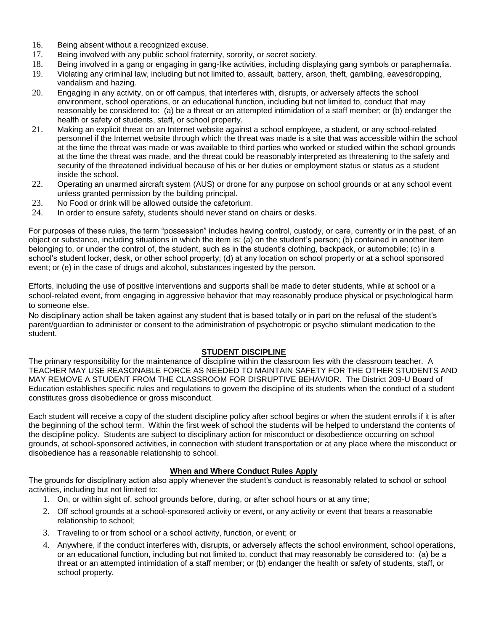- 16. Being absent without a recognized excuse.
- 17. Being involved with any public school fraternity, sorority, or secret society.
- 18. Being involved in a gang or engaging in gang-like activities, including displaying gang symbols or paraphernalia.
- 19. Violating any criminal law, including but not limited to, assault, battery, arson, theft, gambling, eavesdropping, vandalism and hazing.
- 20. Engaging in any activity, on or off campus, that interferes with, disrupts, or adversely affects the school environment, school operations, or an educational function, including but not limited to, conduct that may reasonably be considered to: (a) be a threat or an attempted intimidation of a staff member; or (b) endanger the health or safety of students, staff, or school property.
- 21. Making an explicit threat on an Internet website against a school employee, a student, or any school-related personnel if the Internet website through which the threat was made is a site that was accessible within the school at the time the threat was made or was available to third parties who worked or studied within the school grounds at the time the threat was made, and the threat could be reasonably interpreted as threatening to the safety and security of the threatened individual because of his or her duties or employment status or status as a student inside the school.
- 22. Operating an unarmed aircraft system (AUS) or drone for any purpose on school grounds or at any school event unless granted permission by the building principal.
- 23. No Food or drink will be allowed outside the cafetorium.
- 24. In order to ensure safety, students should never stand on chairs or desks.

For purposes of these rules, the term "possession" includes having control, custody, or care, currently or in the past, of an object or substance, including situations in which the item is: (a) on the student's person; (b) contained in another item belonging to, or under the control of, the student, such as in the student's clothing, backpack, or automobile; (c) in a school's student locker, desk, or other school property; (d) at any location on school property or at a school sponsored event; or (e) in the case of drugs and alcohol, substances ingested by the person.

Efforts, including the use of positive interventions and supports shall be made to deter students, while at school or a school-related event, from engaging in aggressive behavior that may reasonably produce physical or psychological harm to someone else.

No disciplinary action shall be taken against any student that is based totally or in part on the refusal of the student's parent/guardian to administer or consent to the administration of psychotropic or psycho stimulant medication to the student.

#### **STUDENT DISCIPLINE**

The primary responsibility for the maintenance of discipline within the classroom lies with the classroom teacher. A TEACHER MAY USE REASONABLE FORCE AS NEEDED TO MAINTAIN SAFETY FOR THE OTHER STUDENTS AND MAY REMOVE A STUDENT FROM THE CLASSROOM FOR DISRUPTIVE BEHAVIOR. The District 209-U Board of Education establishes specific rules and regulations to govern the discipline of its students when the conduct of a student constitutes gross disobedience or gross misconduct.

Each student will receive a copy of the student discipline policy after school begins or when the student enrolls if it is after the beginning of the school term. Within the first week of school the students will be helped to understand the contents of the discipline policy. Students are subject to disciplinary action for misconduct or disobedience occurring on school grounds, at school-sponsored activities, in connection with student transportation or at any place where the misconduct or disobedience has a reasonable relationship to school.

#### **When and Where Conduct Rules Apply**

The grounds for disciplinary action also apply whenever the student's conduct is reasonably related to school or school activities, including but not limited to:

- 1. On, or within sight of, school grounds before, during, or after school hours or at any time;
- 2. Off school grounds at a school-sponsored activity or event, or any activity or event that bears a reasonable relationship to school;
- 3. Traveling to or from school or a school activity, function, or event; or
- 4. Anywhere, if the conduct interferes with, disrupts, or adversely affects the school environment, school operations, or an educational function, including but not limited to, conduct that may reasonably be considered to: (a) be a threat or an attempted intimidation of a staff member; or (b) endanger the health or safety of students, staff, or school property.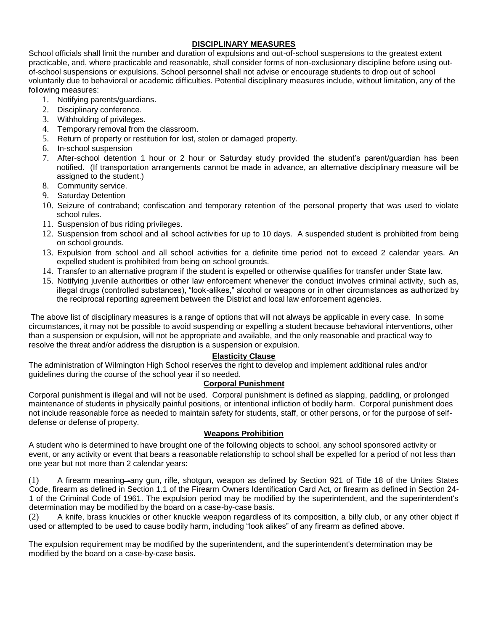# **DISCIPLINARY MEASURES**

School officials shall limit the number and duration of expulsions and out-of-school suspensions to the greatest extent practicable, and, where practicable and reasonable, shall consider forms of non-exclusionary discipline before using outof-school suspensions or expulsions. School personnel shall not advise or encourage students to drop out of school voluntarily due to behavioral or academic difficulties. Potential disciplinary measures include, without limitation, any of the following measures:

- 1. Notifying parents/guardians.
- 2. Disciplinary conference.
- 3. Withholding of privileges.
- 4. Temporary removal from the classroom.
- 5. Return of property or restitution for lost, stolen or damaged property.
- 6. In-school suspension
- 7. After-school detention 1 hour or 2 hour or Saturday study provided the student's parent/guardian has been notified. (If transportation arrangements cannot be made in advance, an alternative disciplinary measure will be assigned to the student.)
- 8. Community service.
- 9. Saturday Detention
- 10. Seizure of contraband; confiscation and temporary retention of the personal property that was used to violate school rules.
- 11. Suspension of bus riding privileges.
- 12. Suspension from school and all school activities for up to 10 days. A suspended student is prohibited from being on school grounds.
- 13. Expulsion from school and all school activities for a definite time period not to exceed 2 calendar years. An expelled student is prohibited from being on school grounds.
- 14. Transfer to an alternative program if the student is expelled or otherwise qualifies for transfer under State law.
- 15. Notifying juvenile authorities or other law enforcement whenever the conduct involves criminal activity, such as, illegal drugs (controlled substances), "look-alikes," alcohol or weapons or in other circumstances as authorized by the reciprocal reporting agreement between the District and local law enforcement agencies.

The above list of disciplinary measures is a range of options that will not always be applicable in every case. In some circumstances, it may not be possible to avoid suspending or expelling a student because behavioral interventions, other than a suspension or expulsion, will not be appropriate and available, and the only reasonable and practical way to resolve the threat and/or address the disruption is a suspension or expulsion.

## **Elasticity Clause**

The administration of Wilmington High School reserves the right to develop and implement additional rules and/or guidelines during the course of the school year if so needed.

## **Corporal Punishment**

Corporal punishment is illegal and will not be used. Corporal punishment is defined as slapping, paddling, or prolonged maintenance of students in physically painful positions, or intentional infliction of bodily harm. Corporal punishment does not include reasonable force as needed to maintain safety for students, staff, or other persons, or for the purpose of selfdefense or defense of property.

## **Weapons Prohibition**

A student who is determined to have brought one of the following objects to school, any school sponsored activity or event, or any activity or event that bears a reasonable relationship to school shall be expelled for a period of not less than one year but not more than 2 calendar years:

(1) A firearm meaning-any gun, rifle, shotgun, weapon as defined by Section 921 of Title 18 of the Unites States Code, firearm as defined in Section 1.1 of the Firearm Owners Identification Card Act, or firearm as defined in Section 24- 1 of the Criminal Code of 1961. The expulsion period may be modified by the superintendent, and the superintendent's determination may be modified by the board on a case-by-case basis.

(2) A knife, brass knuckles or other knuckle weapon regardless of its composition, a billy club, or any other object if used or attempted to be used to cause bodily harm, including "look alikes" of any firearm as defined above.

The expulsion requirement may be modified by the superintendent, and the superintendent's determination may be modified by the board on a case-by-case basis.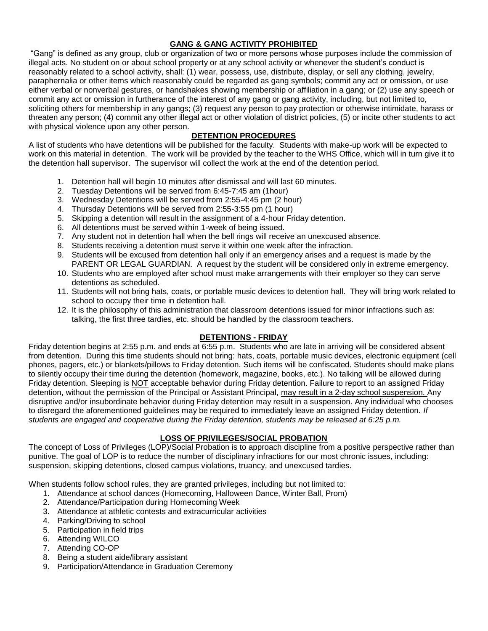# **GANG & GANG ACTIVITY PROHIBITED**

"Gang" is defined as any group, club or organization of two or more persons whose purposes include the commission of illegal acts. No student on or about school property or at any school activity or whenever the student's conduct is reasonably related to a school activity, shall: (1) wear, possess, use, distribute, display, or sell any clothing, jewelry, paraphernalia or other items which reasonably could be regarded as gang symbols; commit any act or omission, or use either verbal or nonverbal gestures, or handshakes showing membership or affiliation in a gang; or (2) use any speech or commit any act or omission in furtherance of the interest of any gang or gang activity, including, but not limited to, soliciting others for membership in any gangs; (3) request any person to pay protection or otherwise intimidate, harass or threaten any person; (4) commit any other illegal act or other violation of district policies, (5) or incite other students to act with physical violence upon any other person.

# **DETENTION PROCEDURES**

A list of students who have detentions will be published for the faculty. Students with make-up work will be expected to work on this material in detention. The work will be provided by the teacher to the WHS Office, which will in turn give it to the detention hall supervisor. The supervisor will collect the work at the end of the detention period.

- 1. Detention hall will begin 10 minutes after dismissal and will last 60 minutes.
- 2. Tuesday Detentions will be served from 6:45-7:45 am (1hour)
- 3. Wednesday Detentions will be served from 2:55-4:45 pm (2 hour)
- 4. Thursday Detentions will be served from 2:55-3:55 pm (1 hour)
- 5. Skipping a detention will result in the assignment of a 4-hour Friday detention.
- 6. All detentions must be served within 1-week of being issued.
- 7. Any student not in detention hall when the bell rings will receive an unexcused absence.
- 8. Students receiving a detention must serve it within one week after the infraction.
- 9. Students will be excused from detention hall only if an emergency arises and a request is made by the PARENT OR LEGAL GUARDIAN. A request by the student will be considered only in extreme emergency.
- 10. Students who are employed after school must make arrangements with their employer so they can serve detentions as scheduled.
- 11. Students will not bring hats, coats, or portable music devices to detention hall. They will bring work related to school to occupy their time in detention hall.
- 12. It is the philosophy of this administration that classroom detentions issued for minor infractions such as: talking, the first three tardies, etc. should be handled by the classroom teachers.

# **DETENTIONS - FRIDAY**

Friday detention begins at 2:55 p.m. and ends at 6:55 p.m. Students who are late in arriving will be considered absent from detention. During this time students should not bring: hats, coats, portable music devices, electronic equipment (cell phones, pagers, etc.) or blankets/pillows to Friday detention. Such items will be confiscated. Students should make plans to silently occupy their time during the detention (homework, magazine, books, etc.). No talking will be allowed during Friday detention. Sleeping is NOT acceptable behavior during Friday detention. Failure to report to an assigned Friday detention, without the permission of the Principal or Assistant Principal, may result in a 2-day school suspension. Any disruptive and/or insubordinate behavior during Friday detention may result in a suspension. Any individual who chooses to disregard the aforementioned guidelines may be required to immediately leave an assigned Friday detention. *If students are engaged and cooperative during the Friday detention, students may be released at 6:25 p.m.*

# **LOSS OF PRIVILEGES/SOCIAL PROBATION**

The concept of Loss of Privileges (LOP)/Social Probation is to approach discipline from a positive perspective rather than punitive. The goal of LOP is to reduce the number of disciplinary infractions for our most chronic issues, including: suspension, skipping detentions, closed campus violations, truancy, and unexcused tardies.

When students follow school rules, they are granted privileges, including but not limited to:

- 1. Attendance at school dances (Homecoming, Halloween Dance, Winter Ball, Prom)
- 2. Attendance/Participation during Homecoming Week
- 3. Attendance at athletic contests and extracurricular activities
- 4. Parking/Driving to school
- 5. Participation in field trips
- 6. Attending WILCO
- 7. Attending CO-OP
- 8. Being a student aide/library assistant
- 9. Participation/Attendance in Graduation Ceremony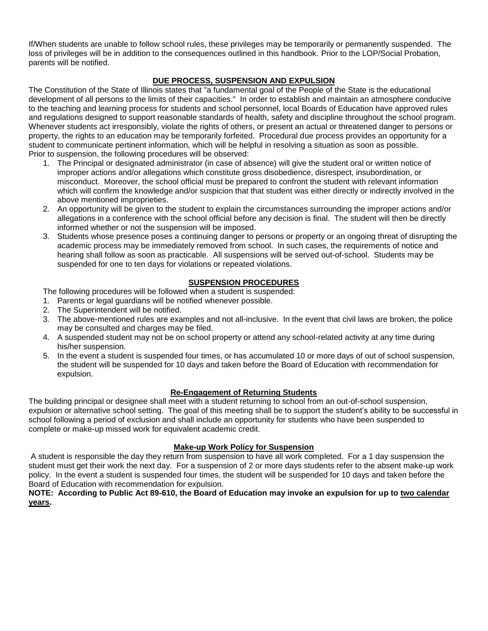If/When students are unable to follow school rules, these privileges may be temporarily or permanently suspended. The loss of privileges will be in addition to the consequences outlined in this handbook. Prior to the LOP/Social Probation, parents will be notified.

# **DUE PROCESS, SUSPENSION AND EXPULSION**

The Constitution of the State of Illinois states that "a fundamental goal of the People of the State is the educational development of all persons to the limits of their capacities." In order to establish and maintain an atmosphere conducive to the teaching and learning process for students and school personnel, local Boards of Education have approved rules and regulations designed to support reasonable standards of health, safety and discipline throughout the school program. Whenever students act irresponsibly, violate the rights of others, or present an actual or threatened danger to persons or property, the rights to an education may be temporarily forfeited. Procedural due process provides an opportunity for a student to communicate pertinent information, which will be helpful in resolving a situation as soon as possible. Prior to suspension, the following procedures will be observed:

- 1. The Principal or designated administrator (in case of absence) will give the student oral or written notice of improper actions and/or allegations which constitute gross disobedience, disrespect, insubordination, or misconduct. Moreover, the school official must be prepared to confront the student with relevant information which will confirm the knowledge and/or suspicion that that student was either directly or indirectly involved in the above mentioned improprieties.
- 2. An opportunity will be given to the student to explain the circumstances surrounding the improper actions and/or allegations in a conference with the school official before any decision is final. The student will then be directly informed whether or not the suspension will be imposed.
- 3. Students whose presence poses a continuing danger to persons or property or an ongoing threat of disrupting the academic process may be immediately removed from school. In such cases, the requirements of notice and hearing shall follow as soon as practicable. All suspensions will be served out-of-school. Students may be suspended for one to ten days for violations or repeated violations.

## **SUSPENSION PROCEDURES**

The following procedures will be followed when a student is suspended:

- 1. Parents or legal guardians will be notified whenever possible.
- 2. The Superintendent will be notified.
- 3. The above-mentioned rules are examples and not all-inclusive. In the event that civil laws are broken, the police may be consulted and charges may be filed.
- 4. A suspended student may not be on school property or attend any school-related activity at any time during his/her suspension.
- 5. In the event a student is suspended four times, or has accumulated 10 or more days of out of school suspension, the student will be suspended for 10 days and taken before the Board of Education with recommendation for expulsion.

## **Re-Engagement of Returning Students**

The building principal or designee shall meet with a student returning to school from an out-of-school suspension, expulsion or alternative school setting. The goal of this meeting shall be to support the student's ability to be successful in school following a period of exclusion and shall include an opportunity for students who have been suspended to complete or make-up missed work for equivalent academic credit.

## **Make-up Work Policy for Suspension**

A student is responsible the day they return from suspension to have all work completed. For a 1 day suspension the student must get their work the next day. For a suspension of 2 or more days students refer to the absent make-up work policy. In the event a student is suspended four times, the student will be suspended for 10 days and taken before the Board of Education with recommendation for expulsion.

#### **NOTE: According to Public Act 89-610, the Board of Education may invoke an expulsion for up to two calendar years.**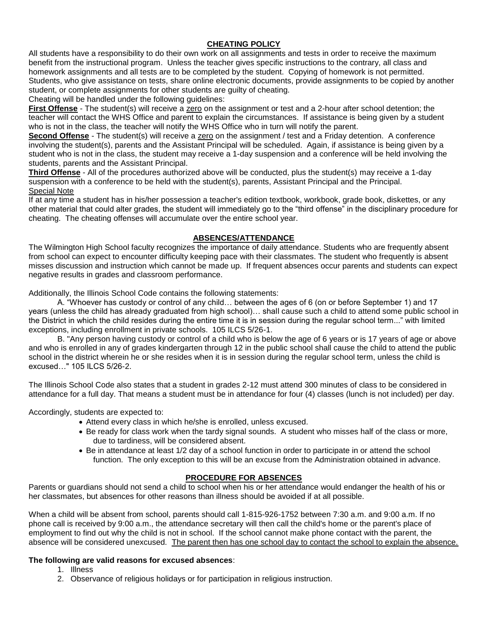# **CHEATING POLICY**

All students have a responsibility to do their own work on all assignments and tests in order to receive the maximum benefit from the instructional program. Unless the teacher gives specific instructions to the contrary, all class and homework assignments and all tests are to be completed by the student. Copying of homework is not permitted. Students, who give assistance on tests, share online electronic documents, provide assignments to be copied by another student, or complete assignments for other students are guilty of cheating.

Cheating will be handled under the following guidelines:

**First Offense** - The student(s) will receive a zero on the assignment or test and a 2-hour after school detention; the teacher will contact the WHS Office and parent to explain the circumstances. If assistance is being given by a student who is not in the class, the teacher will notify the WHS Office who in turn will notify the parent.

**Second Offense** - The student(s) will receive a zero on the assignment / test and a Friday detention. A conference involving the student(s), parents and the Assistant Principal will be scheduled. Again, if assistance is being given by a student who is not in the class, the student may receive a 1-day suspension and a conference will be held involving the students, parents and the Assistant Principal.

**Third Offense** - All of the procedures authorized above will be conducted, plus the student(s) may receive a 1-day suspension with a conference to be held with the student(s), parents, Assistant Principal and the Principal. Special Note

If at any time a student has in his/her possession a teacher's edition textbook, workbook, grade book, diskettes, or any other material that could alter grades, the student will immediately go to the "third offense" in the disciplinary procedure for cheating. The cheating offenses will accumulate over the entire school year.

## **ABSENCES/ATTENDANCE**

The Wilmington High School faculty recognizes the importance of daily attendance. Students who are frequently absent from school can expect to encounter difficulty keeping pace with their classmates. The student who frequently is absent misses discussion and instruction which cannot be made up. If frequent absences occur parents and students can expect negative results in grades and classroom performance.

Additionally, the Illinois School Code contains the following statements:

A. "Whoever has custody or control of any child… between the ages of 6 (on or before September 1) and 17 years (unless the child has already graduated from high school)… shall cause such a child to attend some public school in the District in which the child resides during the entire time it is in session during the regular school term..." with limited exceptions, including enrollment in private schools. 105 ILCS 5/26-1.

B. "Any person having custody or control of a child who is below the age of 6 years or is 17 years of age or above and who is enrolled in any of grades kindergarten through 12 in the public school shall cause the child to attend the public school in the district wherein he or she resides when it is in session during the regular school term, unless the child is excused…" 105 ILCS 5/26-2.

The Illinois School Code also states that a student in grades 2-12 must attend 300 minutes of class to be considered in attendance for a full day. That means a student must be in attendance for four (4) classes (lunch is not included) per day.

Accordingly, students are expected to:

- Attend every class in which he/she is enrolled, unless excused.
- Be ready for class work when the tardy signal sounds. A student who misses half of the class or more, due to tardiness, will be considered absent.
- Be in attendance at least 1/2 day of a school function in order to participate in or attend the school function. The only exception to this will be an excuse from the Administration obtained in advance.

## **PROCEDURE FOR ABSENCES**

Parents or guardians should not send a child to school when his or her attendance would endanger the health of his or her classmates, but absences for other reasons than illness should be avoided if at all possible.

When a child will be absent from school, parents should call 1-815-926-1752 between 7:30 a.m. and 9:00 a.m. If no phone call is received by 9:00 a.m., the attendance secretary will then call the child's home or the parent's place of employment to find out why the child is not in school. If the school cannot make phone contact with the parent, the absence will be considered unexcused. The parent then has one school day to contact the school to explain the absence.

# **The following are valid reasons for excused absences**:

- 1. Illness
- 2. Observance of religious holidays or for participation in religious instruction.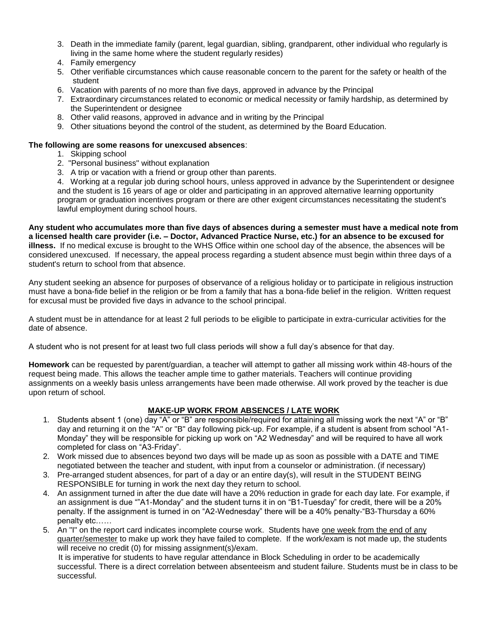- 3. Death in the immediate family (parent, legal guardian, sibling, grandparent, other individual who regularly is living in the same home where the student regularly resides)
- 4. Family emergency
- 5. Other verifiable circumstances which cause reasonable concern to the parent for the safety or health of the student
- 6. Vacation with parents of no more than five days, approved in advance by the Principal
- 7. Extraordinary circumstances related to economic or medical necessity or family hardship, as determined by the Superintendent or designee
- 8. Other valid reasons, approved in advance and in writing by the Principal
- 9. Other situations beyond the control of the student, as determined by the Board Education.

#### **The following are some reasons for unexcused absences**:

- 1. Skipping school
- 2. "Personal business" without explanation
- 3. A trip or vacation with a friend or group other than parents.

4. Working at a regular job during school hours, unless approved in advance by the Superintendent or designee and the student is 16 years of age or older and participating in an approved alternative learning opportunity program or graduation incentives program or there are other exigent circumstances necessitating the student's lawful employment during school hours.

**Any student who accumulates more than five days of absences during a semester must have a medical note from a licensed health care provider (i.e. – Doctor, Advanced Practice Nurse, etc.) for an absence to be excused for illness.** If no medical excuse is brought to the WHS Office within one school day of the absence, the absences will be considered unexcused. If necessary, the appeal process regarding a student absence must begin within three days of a student's return to school from that absence.

Any student seeking an absence for purposes of observance of a religious holiday or to participate in religious instruction must have a bona-fide belief in the religion or be from a family that has a bona-fide belief in the religion. Written request for excusal must be provided five days in advance to the school principal.

A student must be in attendance for at least 2 full periods to be eligible to participate in extra-curricular activities for the date of absence.

A student who is not present for at least two full class periods will show a full day's absence for that day.

**Homework** can be requested by parent/guardian, a teacher will attempt to gather all missing work within 48-hours of the request being made. This allows the teacher ample time to gather materials. Teachers will continue providing assignments on a weekly basis unless arrangements have been made otherwise. All work proved by the teacher is due upon return of school.

## **MAKE-UP WORK FROM ABSENCES / LATE WORK**

- 1. Students absent 1 (one) day "A" or "B" are responsible/required for attaining all missing work the next "A" or "B" day and returning it on the "A" or "B" day following pick-up. For example, if a student is absent from school "A1- Monday" they will be responsible for picking up work on "A2 Wednesday" and will be required to have all work completed for class on "A3-Friday".
- 2. Work missed due to absences beyond two days will be made up as soon as possible with a DATE and TIME negotiated between the teacher and student, with input from a counselor or administration. (if necessary)
- 3. Pre-arranged student absences, for part of a day or an entire day(s), will result in the STUDENT BEING RESPONSIBLE for turning in work the next day they return to school.
- 4. An assignment turned in after the due date will have a 20% reduction in grade for each day late. For example, if an assignment is due ""A1-Monday" and the student turns it in on "B1-Tuesday" for credit, there will be a 20% penalty. If the assignment is turned in on "A2-Wednesday" there will be a 40% penalty-"B3-Thursday a 60% penalty etc……
- 5. An "I" on the report card indicates incomplete course work. Students have one week from the end of any quarter/semester to make up work they have failed to complete. If the work/exam is not made up, the students will receive no credit (0) for missing assignment(s)/exam.

 It is imperative for students to have regular attendance in Block Scheduling in order to be academically successful. There is a direct correlation between absenteeism and student failure. Students must be in class to be successful.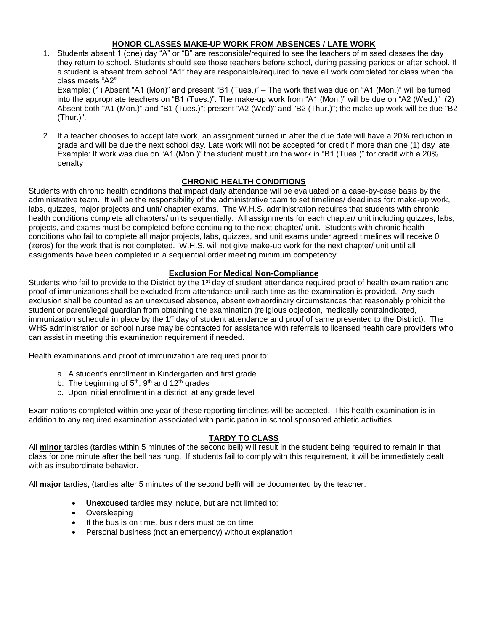## **HONOR CLASSES MAKE-UP WORK FROM ABSENCES / LATE WORK**

- 1. Students absent 1 (one) day "A" or "B" are responsible/required to see the teachers of missed classes the day they return to school. Students should see those teachers before school, during passing periods or after school. If a student is absent from school "A1" they are responsible/required to have all work completed for class when the class meets "A2" Example: (1) Absent "A1 (Mon)" and present "B1 (Tues.)" – The work that was due on "A1 (Mon.)" will be turned into the appropriate teachers on "B1 (Tues.)". The make-up work from "A1 (Mon.)" will be due on "A2 (Wed.)" (2) Absent both "A1 (Mon.)" and "B1 (Tues.)"; present "A2 (Wed)" and "B2 (Thur.)"; the make-up work will be due "B2 (Thur.)".
- 2. If a teacher chooses to accept late work, an assignment turned in after the due date will have a 20% reduction in grade and will be due the next school day. Late work will not be accepted for credit if more than one (1) day late. Example: If work was due on "A1 (Mon.)" the student must turn the work in "B1 (Tues.)" for credit with a 20% penalty

## **CHRONIC HEALTH CONDITIONS**

Students with chronic health conditions that impact daily attendance will be evaluated on a case-by-case basis by the administrative team. It will be the responsibility of the administrative team to set timelines/ deadlines for: make-up work, labs, quizzes, major projects and unit/ chapter exams. The W.H.S. administration requires that students with chronic health conditions complete all chapters/ units sequentially. All assignments for each chapter/ unit including quizzes, labs, projects, and exams must be completed before continuing to the next chapter/ unit. Students with chronic health conditions who fail to complete all major projects, labs, quizzes, and unit exams under agreed timelines will receive 0 (zeros) for the work that is not completed. W.H.S. will not give make-up work for the next chapter/ unit until all assignments have been completed in a sequential order meeting minimum competency.

#### **Exclusion For Medical Non-Compliance**

Students who fail to provide to the District by the 1<sup>st</sup> day of student attendance required proof of health examination and proof of immunizations shall be excluded from attendance until such time as the examination is provided. Any such exclusion shall be counted as an unexcused absence, absent extraordinary circumstances that reasonably prohibit the student or parent/legal guardian from obtaining the examination (religious objection, medically contraindicated, immunization schedule in place by the  $1<sup>st</sup>$  day of student attendance and proof of same presented to the District). The WHS administration or school nurse may be contacted for assistance with referrals to licensed health care providers who can assist in meeting this examination requirement if needed.

Health examinations and proof of immunization are required prior to:

- a. A student's enrollment in Kindergarten and first grade
- b. The beginning of  $5<sup>th</sup>$ , 9<sup>th</sup> and 12<sup>th</sup> grades
- c. Upon initial enrollment in a district, at any grade level

Examinations completed within one year of these reporting timelines will be accepted. This health examination is in addition to any required examination associated with participation in school sponsored athletic activities.

## **TARDY TO CLASS**

All **minor** tardies (tardies within 5 minutes of the second bell) will result in the student being required to remain in that class for one minute after the bell has rung. If students fail to comply with this requirement, it will be immediately dealt with as insubordinate behavior.

All **major** tardies, (tardies after 5 minutes of the second bell) will be documented by the teacher.

- **Unexcused** tardies may include, but are not limited to:
- Oversleeping
- If the bus is on time, bus riders must be on time
- Personal business (not an emergency) without explanation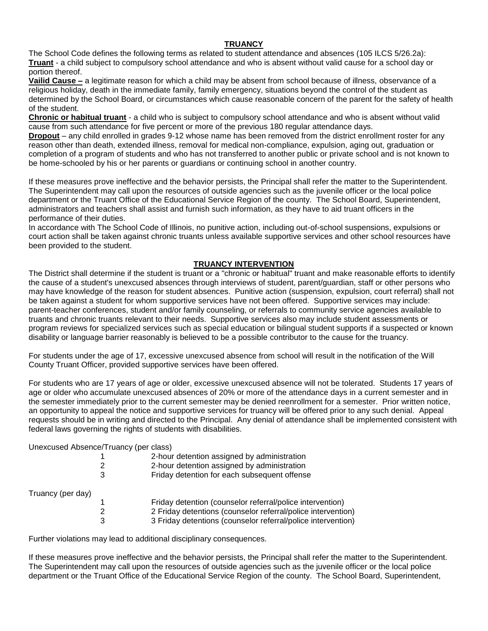#### **TRUANCY**

The School Code defines the following terms as related to student attendance and absences (105 ILCS 5/26.2a): **Truant** - a child subject to compulsory school attendance and who is absent without valid cause for a school day or portion thereof.

**Vailid Cause –** a legitimate reason for which a child may be absent from school because of illness, observance of a religious holiday, death in the immediate family, family emergency, situations beyond the control of the student as determined by the School Board, or circumstances which cause reasonable concern of the parent for the safety of health of the student.

**Chronic or habitual truant** - a child who is subject to compulsory school attendance and who is absent without valid cause from such attendance for five percent or more of the previous 180 regular attendance days.

**Dropout** – any child enrolled in grades 9-12 whose name has been removed from the district enrollment roster for any reason other than death, extended illness, removal for medical non-compliance, expulsion, aging out, graduation or completion of a program of students and who has not transferred to another public or private school and is not known to be home-schooled by his or her parents or guardians or continuing school in another country.

If these measures prove ineffective and the behavior persists, the Principal shall refer the matter to the Superintendent. The Superintendent may call upon the resources of outside agencies such as the juvenile officer or the local police department or the Truant Office of the Educational Service Region of the county. The School Board, Superintendent, administrators and teachers shall assist and furnish such information, as they have to aid truant officers in the performance of their duties.

In accordance with The School Code of Illinois, no punitive action, including out-of-school suspensions, expulsions or court action shall be taken against chronic truants unless available supportive services and other school resources have been provided to the student.

## **TRUANCY INTERVENTION**

The District shall determine if the student is truant or a "chronic or habitual" truant and make reasonable efforts to identify the cause of a student's unexcused absences through interviews of student, parent/guardian, staff or other persons who may have knowledge of the reason for student absences. Punitive action (suspension, expulsion, court referral) shall not be taken against a student for whom supportive services have not been offered. Supportive services may include: parent-teacher conferences, student and/or family counseling, or referrals to community service agencies available to truants and chronic truants relevant to their needs. Supportive services also may include student assessments or program reviews for specialized services such as special education or bilingual student supports if a suspected or known disability or language barrier reasonably is believed to be a possible contributor to the cause for the truancy.

For students under the age of 17, excessive unexcused absence from school will result in the notification of the Will County Truant Officer, provided supportive services have been offered.

For students who are 17 years of age or older, excessive unexcused absence will not be tolerated. Students 17 years of age or older who accumulate unexcused absences of 20% or more of the attendance days in a current semester and in the semester immediately prior to the current semester may be denied reenrollment for a semester. Prior written notice, an opportunity to appeal the notice and supportive services for truancy will be offered prior to any such denial. Appeal requests should be in writing and directed to the Principal. Any denial of attendance shall be implemented consistent with federal laws governing the rights of students with disabilities.

Unexcused Absence/Truancy (per class)

|                   | 2<br>3 | 2-hour detention assigned by administration<br>2-hour detention assigned by administration<br>Friday detention for each subsequent offense |
|-------------------|--------|--------------------------------------------------------------------------------------------------------------------------------------------|
| Truancy (per day) |        |                                                                                                                                            |
|                   |        | Friday detention (counselor referral/police intervention)                                                                                  |
|                   | 2      | 2 Friday detentions (counselor referral/police intervention)                                                                               |
|                   | 3      | 3 Friday detentions (counselor referral/police intervention)                                                                               |

Further violations may lead to additional disciplinary consequences.

If these measures prove ineffective and the behavior persists, the Principal shall refer the matter to the Superintendent. The Superintendent may call upon the resources of outside agencies such as the juvenile officer or the local police department or the Truant Office of the Educational Service Region of the county. The School Board, Superintendent,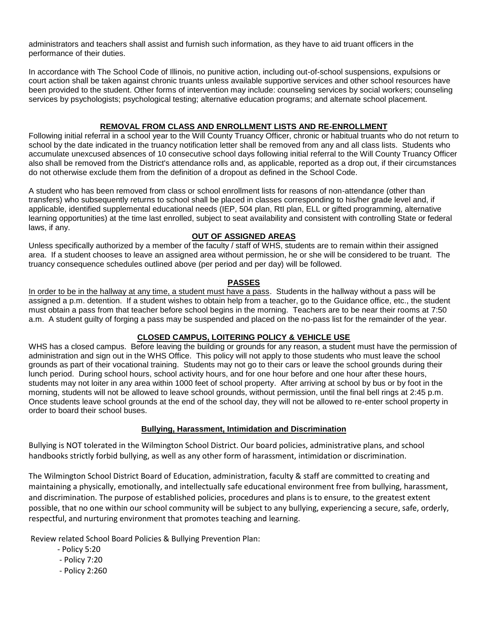administrators and teachers shall assist and furnish such information, as they have to aid truant officers in the performance of their duties.

In accordance with The School Code of Illinois, no punitive action, including out-of-school suspensions, expulsions or court action shall be taken against chronic truants unless available supportive services and other school resources have been provided to the student. Other forms of intervention may include: counseling services by social workers; counseling services by psychologists; psychological testing; alternative education programs; and alternate school placement.

# **REMOVAL FROM CLASS AND ENROLLMENT LISTS AND RE-ENROLLMENT**

Following initial referral in a school year to the Will County Truancy Officer, chronic or habitual truants who do not return to school by the date indicated in the truancy notification letter shall be removed from any and all class lists. Students who accumulate unexcused absences of 10 consecutive school days following initial referral to the Will County Truancy Officer also shall be removed from the District's attendance rolls and, as applicable, reported as a drop out, if their circumstances do not otherwise exclude them from the definition of a dropout as defined in the School Code.

A student who has been removed from class or school enrollment lists for reasons of non-attendance (other than transfers) who subsequently returns to school shall be placed in classes corresponding to his/her grade level and, if applicable, identified supplemental educational needs (IEP, 504 plan, RtI plan, ELL or gifted programming, alternative learning opportunities) at the time last enrolled, subject to seat availability and consistent with controlling State or federal laws, if any.

## **OUT OF ASSIGNED AREAS**

Unless specifically authorized by a member of the faculty / staff of WHS, students are to remain within their assigned area. If a student chooses to leave an assigned area without permission, he or she will be considered to be truant. The truancy consequence schedules outlined above (per period and per day) will be followed.

## **PASSES**

In order to be in the hallway at any time, a student must have a pass. Students in the hallway without a pass will be assigned a p.m. detention. If a student wishes to obtain help from a teacher, go to the Guidance office, etc., the student must obtain a pass from that teacher before school begins in the morning. Teachers are to be near their rooms at 7:50 a.m. A student guilty of forging a pass may be suspended and placed on the no-pass list for the remainder of the year.

## **CLOSED CAMPUS, LOITERING POLICY & VEHICLE USE**

WHS has a closed campus. Before leaving the building or grounds for any reason, a student must have the permission of administration and sign out in the WHS Office. This policy will not apply to those students who must leave the school grounds as part of their vocational training. Students may not go to their cars or leave the school grounds during their lunch period. During school hours, school activity hours, and for one hour before and one hour after these hours, students may not loiter in any area within 1000 feet of school property. After arriving at school by bus or by foot in the morning, students will not be allowed to leave school grounds, without permission, until the final bell rings at 2:45 p.m. Once students leave school grounds at the end of the school day, they will not be allowed to re-enter school property in order to board their school buses.

## **Bullying, Harassment, Intimidation and Discrimination**

Bullying is NOT tolerated in the Wilmington School District. Our board policies, administrative plans, and school handbooks strictly forbid bullying, as well as any other form of harassment, intimidation or discrimination.

The Wilmington School District Board of Education, administration, faculty & staff are committed to creating and maintaining a physically, emotionally, and intellectually safe educational environment free from bullying, harassment, and discrimination. The purpose of established policies, procedures and plans is to ensure, to the greatest extent possible, that no one within our school community will be subject to any bullying, experiencing a secure, safe, orderly, respectful, and nurturing environment that promotes teaching and learning.

Review related School Board Policies & Bullying Prevention Plan:

- Policy 5:20
- Policy 7:20
- Policy 2:260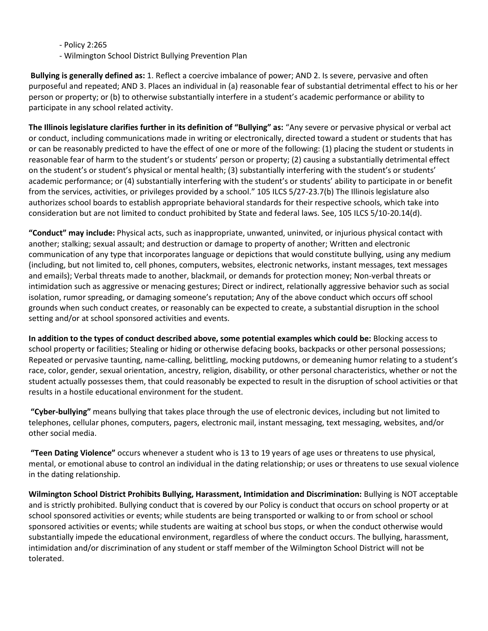- Policy 2:265

- Wilmington School District Bullying Prevention Plan

**Bullying is generally defined as:** 1. Reflect a coercive imbalance of power; AND 2. Is severe, pervasive and often purposeful and repeated; AND 3. Places an individual in (a) reasonable fear of substantial detrimental effect to his or her person or property; or (b) to otherwise substantially interfere in a student's academic performance or ability to participate in any school related activity.

**The Illinois legislature clarifies further in its definition of "Bullying" as:** "Any severe or pervasive physical or verbal act or conduct, including communications made in writing or electronically, directed toward a student or students that has or can be reasonably predicted to have the effect of one or more of the following: (1) placing the student or students in reasonable fear of harm to the student's or students' person or property; (2) causing a substantially detrimental effect on the student's or student's physical or mental health; (3) substantially interfering with the student's or students' academic performance; or (4) substantially interfering with the student's or students' ability to participate in or benefit from the services, activities, or privileges provided by a school." 105 ILCS 5/27-23.7(b) The Illinois legislature also authorizes school boards to establish appropriate behavioral standards for their respective schools, which take into consideration but are not limited to conduct prohibited by State and federal laws. See, 105 ILCS 5/10-20.14(d).

**"Conduct" may include:** Physical acts, such as inappropriate, unwanted, uninvited, or injurious physical contact with another; stalking; sexual assault; and destruction or damage to property of another; Written and electronic communication of any type that incorporates language or depictions that would constitute bullying, using any medium (including, but not limited to, cell phones, computers, websites, electronic networks, instant messages, text messages and emails); Verbal threats made to another, blackmail, or demands for protection money; Non-verbal threats or intimidation such as aggressive or menacing gestures; Direct or indirect, relationally aggressive behavior such as social isolation, rumor spreading, or damaging someone's reputation; Any of the above conduct which occurs off school grounds when such conduct creates, or reasonably can be expected to create, a substantial disruption in the school setting and/or at school sponsored activities and events.

**In addition to the types of conduct described above, some potential examples which could be:** Blocking access to school property or facilities; Stealing or hiding or otherwise defacing books, backpacks or other personal possessions; Repeated or pervasive taunting, name-calling, belittling, mocking putdowns, or demeaning humor relating to a student's race, color, gender, sexual orientation, ancestry, religion, disability, or other personal characteristics, whether or not the student actually possesses them, that could reasonably be expected to result in the disruption of school activities or that results in a hostile educational environment for the student.

**"Cyber-bullying"** means bullying that takes place through the use of electronic devices, including but not limited to telephones, cellular phones, computers, pagers, electronic mail, instant messaging, text messaging, websites, and/or other social media.

**"Teen Dating Violence"** occurs whenever a student who is 13 to 19 years of age uses or threatens to use physical, mental, or emotional abuse to control an individual in the dating relationship; or uses or threatens to use sexual violence in the dating relationship.

**Wilmington School District Prohibits Bullying, Harassment, Intimidation and Discrimination:** Bullying is NOT acceptable and is strictly prohibited. Bullying conduct that is covered by our Policy is conduct that occurs on school property or at school sponsored activities or events; while students are being transported or walking to or from school or school sponsored activities or events; while students are waiting at school bus stops, or when the conduct otherwise would substantially impede the educational environment, regardless of where the conduct occurs. The bullying, harassment, intimidation and/or discrimination of any student or staff member of the Wilmington School District will not be tolerated.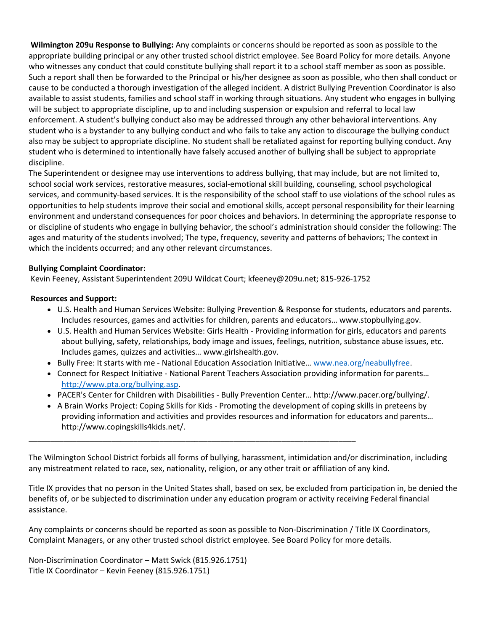**Wilmington 209u Response to Bullying:** Any complaints or concerns should be reported as soon as possible to the appropriate building principal or any other trusted school district employee. See Board Policy for more details. Anyone who witnesses any conduct that could constitute bullying shall report it to a school staff member as soon as possible. Such a report shall then be forwarded to the Principal or his/her designee as soon as possible, who then shall conduct or cause to be conducted a thorough investigation of the alleged incident. A district Bullying Prevention Coordinator is also available to assist students, families and school staff in working through situations. Any student who engages in bullying will be subject to appropriate discipline, up to and including suspension or expulsion and referral to local law enforcement. A student's bullying conduct also may be addressed through any other behavioral interventions. Any student who is a bystander to any bullying conduct and who fails to take any action to discourage the bullying conduct also may be subject to appropriate discipline. No student shall be retaliated against for reporting bullying conduct. Any student who is determined to intentionally have falsely accused another of bullying shall be subject to appropriate discipline.

The Superintendent or designee may use interventions to address bullying, that may include, but are not limited to, school social work services, restorative measures, social-emotional skill building, counseling, school psychological services, and community-based services. It is the responsibility of the school staff to use violations of the school rules as opportunities to help students improve their social and emotional skills, accept personal responsibility for their learning environment and understand consequences for poor choices and behaviors. In determining the appropriate response to or discipline of students who engage in bullying behavior, the school's administration should consider the following: The ages and maturity of the students involved; The type, frequency, severity and patterns of behaviors; The context in which the incidents occurred; and any other relevant circumstances.

# **Bullying Complaint Coordinator:**

Kevin Feeney, Assistant Superintendent 209U Wildcat Court; kfeeney@209u.net; 815-926-1752

\_\_\_\_\_\_\_\_\_\_\_\_\_\_\_\_\_\_\_\_\_\_\_\_\_\_\_\_\_\_\_\_\_\_\_\_\_\_\_\_\_\_\_\_\_\_\_\_\_\_\_\_\_\_\_\_\_\_\_\_\_\_\_\_\_\_\_\_\_\_\_\_\_\_\_

## **Resources and Support:**

- U.S. Health and Human Services Website: Bullying Prevention & Response for students, educators and parents. Includes resources, games and activities for children, parents and educators… www.stopbullying.gov.
- U.S. Health and Human Services Website: Girls Health Providing information for girls, educators and parents about bullying, safety, relationships, body image and issues, feelings, nutrition, substance abuse issues, etc. Includes games, quizzes and activities… www.girlshealth.gov.
- Bully Free: It starts with me National Education Association Initiative… [www.nea.org/neabullyfree.](http://www.nea.org/neabullyfree)
- Connect for Respect Initiative National Parent Teachers Association providing information for parents… [http://www.pta.org/bullying.asp.](http://www.pta.org/bullying.asp)
- PACER's Center for Children with Disabilities Bully Prevention Center… http://www.pacer.org/bullying/.
- A Brain Works Project: Coping Skills for Kids Promoting the development of coping skills in preteens by providing information and activities and provides resources and information for educators and parents… http://www.copingskills4kids.net/.

The Wilmington School District forbids all forms of bullying, harassment, intimidation and/or discrimination, including any mistreatment related to race, sex, nationality, religion, or any other trait or affiliation of any kind.

Title IX provides that no person in the United States shall, based on sex, be excluded from participation in, be denied the benefits of, or be subjected to discrimination under any education program or activity receiving Federal financial assistance.

Any complaints or concerns should be reported as soon as possible to Non-Discrimination / Title IX Coordinators, Complaint Managers, or any other trusted school district employee. See Board Policy for more details.

Non-Discrimination Coordinator – Matt Swick (815.926.1751) Title IX Coordinator – Kevin Feeney (815.926.1751)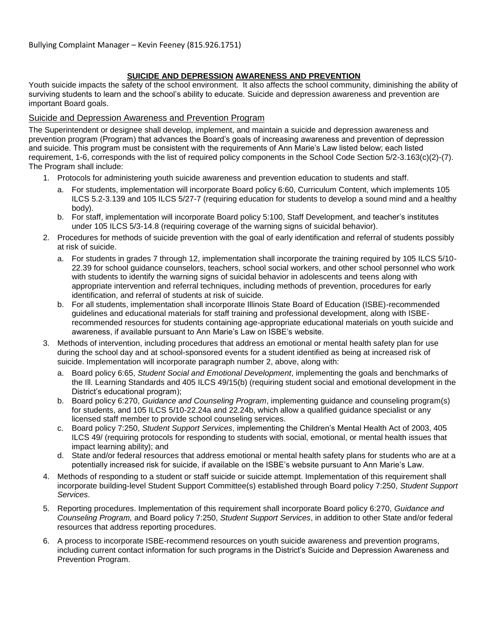# **SUICIDE AND DEPRESSION AWARENESS AND PREVENTION**

Youth suicide impacts the safety of the school environment. It also affects the school community, diminishing the ability of surviving students to learn and the school's ability to educate. Suicide and depression awareness and prevention are important Board goals.

# Suicide and Depression Awareness and Prevention Program

The Superintendent or designee shall develop, implement, and maintain a suicide and depression awareness and prevention program (Program) that advances the Board's goals of increasing awareness and prevention of depression and suicide. This program must be consistent with the requirements of Ann Marie's Law listed below; each listed requirement, 1-6, corresponds with the list of required policy components in the School Code Section 5/2-3.163(c)(2)-(7). The Program shall include:

- 1. Protocols for administering youth suicide awareness and prevention education to students and staff.
	- a. For students, implementation will incorporate Board policy 6:60, Curriculum Content, which implements 105 ILCS 5.2-3.139 and 105 ILCS 5/27-7 (requiring education for students to develop a sound mind and a healthy body).
	- b. For staff, implementation will incorporate Board policy 5:100, Staff Development, and teacher's institutes under 105 ILCS 5/3-14.8 (requiring coverage of the warning signs of suicidal behavior).
- 2. Procedures for methods of suicide prevention with the goal of early identification and referral of students possibly at risk of suicide.
	- a. For students in grades 7 through 12, implementation shall incorporate the training required by 105 ILCS 5/10- 22.39 for school guidance counselors, teachers, school social workers, and other school personnel who work with students to identify the warning signs of suicidal behavior in adolescents and teens along with appropriate intervention and referral techniques, including methods of prevention, procedures for early identification, and referral of students at risk of suicide.
	- b. For all students, implementation shall incorporate Illinois State Board of Education (ISBE)-recommended guidelines and educational materials for staff training and professional development, along with ISBErecommended resources for students containing age-appropriate educational materials on youth suicide and awareness, if available pursuant to Ann Marie's Law on ISBE's website.
- 3. Methods of intervention, including procedures that address an emotional or mental health safety plan for use during the school day and at school-sponsored events for a student identified as being at increased risk of suicide. Implementation will incorporate paragraph number 2, above, along with:
	- a. Board policy 6:65, *Student Social and Emotional Development*, implementing the goals and benchmarks of the Ill. Learning Standards and 405 ILCS 49/15(b) (requiring student social and emotional development in the District's educational program);
	- b. Board policy 6:270, *Guidance and Counseling Program*, implementing guidance and counseling program(s) for students, and 105 ILCS 5/10-22.24a and 22.24b, which allow a qualified guidance specialist or any licensed staff member to provide school counseling services.
	- c. Board policy 7:250, *Student Support Services*, implementing the Children's Mental Health Act of 2003, 405 ILCS 49/ (requiring protocols for responding to students with social, emotional, or mental health issues that impact learning ability); and
	- d. State and/or federal resources that address emotional or mental health safety plans for students who are at a potentially increased risk for suicide, if available on the ISBE's website pursuant to Ann Marie's Law.
- 4. Methods of responding to a student or staff suicide or suicide attempt. Implementation of this requirement shall incorporate building-level Student Support Committee(s) established through Board policy 7:250, *Student Support Services*.
- 5. Reporting procedures. Implementation of this requirement shall incorporate Board policy 6:270, *Guidance and Counseling Program,* and Board policy 7:250, *Student Support Services*, in addition to other State and/or federal resources that address reporting procedures.
- 6. A process to incorporate ISBE-recommend resources on youth suicide awareness and prevention programs, including current contact information for such programs in the District's Suicide and Depression Awareness and Prevention Program.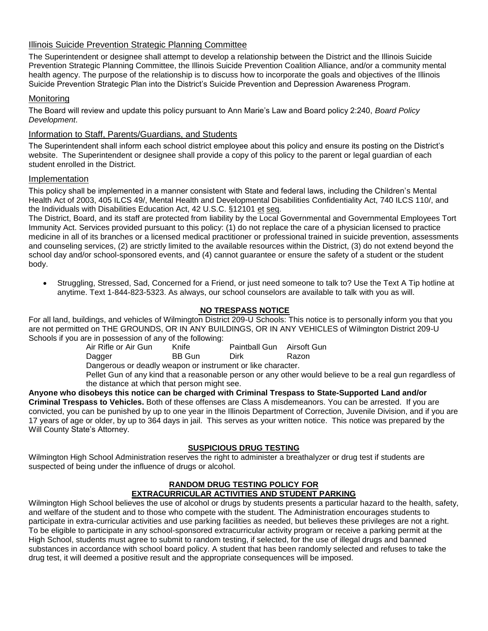# Illinois Suicide Prevention Strategic Planning Committee

The Superintendent or designee shall attempt to develop a relationship between the District and the Illinois Suicide Prevention Strategic Planning Committee, the Illinois Suicide Prevention Coalition Alliance, and/or a community mental health agency. The purpose of the relationship is to discuss how to incorporate the goals and objectives of the Illinois Suicide Prevention Strategic Plan into the District's Suicide Prevention and Depression Awareness Program.

# **Monitoring**

The Board will review and update this policy pursuant to Ann Marie's Law and Board policy 2:240, *Board Policy Development*.

# Information to Staff, Parents/Guardians, and Students

The Superintendent shall inform each school district employee about this policy and ensure its posting on the District's website. The Superintendent or designee shall provide a copy of this policy to the parent or legal guardian of each student enrolled in the District.

## Implementation

This policy shall be implemented in a manner consistent with State and federal laws, including the Children's Mental Health Act of 2003, 405 ILCS 49/, Mental Health and Developmental Disabilities Confidentiality Act, 740 ILCS 110/, and the Individuals with Disabilities Education Act, 42 U.S.C. §12101 et seq.

The District, Board, and its staff are protected from liability by the Local Governmental and Governmental Employees Tort Immunity Act. Services provided pursuant to this policy: (1) do not replace the care of a physician licensed to practice medicine in all of its branches or a licensed medical practitioner or professional trained in suicide prevention, assessments and counseling services, (2) are strictly limited to the available resources within the District, (3) do not extend beyond the school day and/or school-sponsored events, and (4) cannot guarantee or ensure the safety of a student or the student body.

• Struggling, Stressed, Sad, Concerned for a Friend, or just need someone to talk to? Use the Text A Tip hotline at anytime. Text 1-844-823-5323. As always, our school counselors are available to talk with you as will.

# **NO TRESPASS NOTICE**

For all land, buildings, and vehicles of Wilmington District 209-U Schools: This notice is to personally inform you that you are not permitted on THE GROUNDS, OR IN ANY BUILDINGS, OR IN ANY VEHICLES of Wilmington District 209-U Schools if you are in possession of any of the following:

| Paintball Gun Airsoft Gun | Air Rifle or Air Gun | Knife |  |  |
|---------------------------|----------------------|-------|--|--|
|---------------------------|----------------------|-------|--|--|

Dagger BB Gun Dirk Razon

Dangerous or deadly weapon or instrument or like character.

Pellet Gun of any kind that a reasonable person or any other would believe to be a real gun regardless of the distance at which that person might see.

**Anyone who disobeys this notice can be charged with Criminal Trespass to State-Supported Land and/or Criminal Trespass to Vehicles.** Both of these offenses are Class A misdemeanors. You can be arrested. If you are convicted, you can be punished by up to one year in the Illinois Department of Correction, Juvenile Division, and if you are 17 years of age or older, by up to 364 days in jail. This serves as your written notice. This notice was prepared by the Will County State's Attorney.

# **SUSPICIOUS DRUG TESTING**

Wilmington High School Administration reserves the right to administer a breathalyzer or drug test if students are suspected of being under the influence of drugs or alcohol.

#### **RANDOM DRUG TESTING POLICY FOR EXTRACURRICULAR ACTIVITIES AND STUDENT PARKING**

Wilmington High School believes the use of alcohol or drugs by students presents a particular hazard to the health, safety, and welfare of the student and to those who compete with the student. The Administration encourages students to participate in extra-curricular activities and use parking facilities as needed, but believes these privileges are not a right. To be eligible to participate in any school-sponsored extracurricular activity program or receive a parking permit at the High School, students must agree to submit to random testing, if selected, for the use of illegal drugs and banned substances in accordance with school board policy. A student that has been randomly selected and refuses to take the drug test, it will deemed a positive result and the appropriate consequences will be imposed.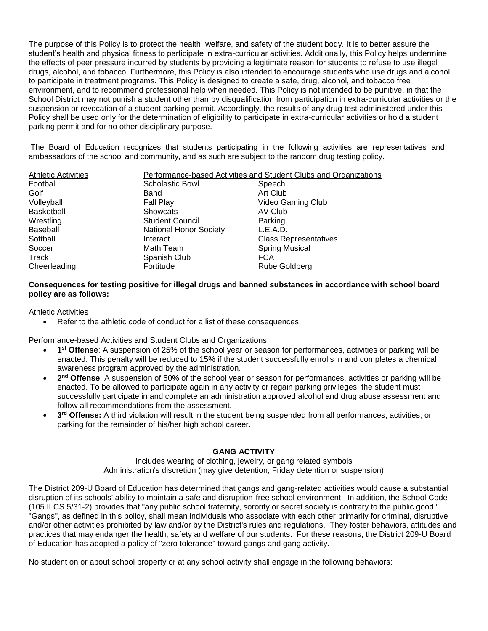The purpose of this Policy is to protect the health, welfare, and safety of the student body. It is to better assure the student's health and physical fitness to participate in extra-curricular activities. Additionally, this Policy helps undermine the effects of peer pressure incurred by students by providing a legitimate reason for students to refuse to use illegal drugs, alcohol, and tobacco. Furthermore, this Policy is also intended to encourage students who use drugs and alcohol to participate in treatment programs. This Policy is designed to create a safe, drug, alcohol, and tobacco free environment, and to recommend professional help when needed. This Policy is not intended to be punitive, in that the School District may not punish a student other than by disqualification from participation in extra-curricular activities or the suspension or revocation of a student parking permit. Accordingly, the results of any drug test administered under this Policy shall be used only for the determination of eligibility to participate in extra-curricular activities or hold a student parking permit and for no other disciplinary purpose.

The Board of Education recognizes that students participating in the following activities are representatives and ambassadors of the school and community, and as such are subject to the random drug testing policy.

| <b>Athletic Activities</b> |                               | Performance-based Activities and Student Clubs and Organizations |
|----------------------------|-------------------------------|------------------------------------------------------------------|
| Football                   | Scholastic Bowl               | Speech                                                           |
| Golf                       | Band                          | Art Club                                                         |
| Volleyball                 | Fall Play                     | Video Gaming Club                                                |
| Basketball                 | <b>Showcats</b>               | AV Club                                                          |
| Wrestling                  | <b>Student Council</b>        | Parking                                                          |
| Baseball                   | <b>National Honor Society</b> | L.E.A.D.                                                         |
| Softball                   | Interact                      | <b>Class Representatives</b>                                     |
| Soccer                     | Math Team                     | <b>Spring Musical</b>                                            |
| Track                      | Spanish Club                  | <b>FCA</b>                                                       |
| Cheerleading               | Fortitude                     | Rube Goldberg                                                    |

#### **Consequences for testing positive for illegal drugs and banned substances in accordance with school board policy are as follows:**

#### Athletic Activities

Refer to the athletic code of conduct for a list of these consequences.

Performance-based Activities and Student Clubs and Organizations

- **1 st Offense**: A suspension of 25% of the school year or season for performances, activities or parking will be enacted. This penalty will be reduced to 15% if the student successfully enrolls in and completes a chemical awareness program approved by the administration.
- **2 nd Offense**: A suspension of 50% of the school year or season for performances, activities or parking will be enacted. To be allowed to participate again in any activity or regain parking privileges, the student must successfully participate in and complete an administration approved alcohol and drug abuse assessment and follow all recommendations from the assessment.
- **3<sup>rd</sup> Offense:** A third violation will result in the student being suspended from all performances, activities, or parking for the remainder of his/her high school career.

#### **GANG ACTIVITY**

Includes wearing of clothing, jewelry, or gang related symbols Administration's discretion (may give detention, Friday detention or suspension)

The District 209-U Board of Education has determined that gangs and gang-related activities would cause a substantial disruption of its schools' ability to maintain a safe and disruption-free school environment. In addition, the School Code (105 ILCS 5/31-2) provides that "any public school fraternity, sorority or secret society is contrary to the public good." "Gangs", as defined in this policy, shall mean individuals who associate with each other primarily for criminal, disruptive and/or other activities prohibited by law and/or by the District's rules and regulations. They foster behaviors, attitudes and practices that may endanger the health, safety and welfare of our students. For these reasons, the District 209-U Board of Education has adopted a policy of "zero tolerance" toward gangs and gang activity.

No student on or about school property or at any school activity shall engage in the following behaviors: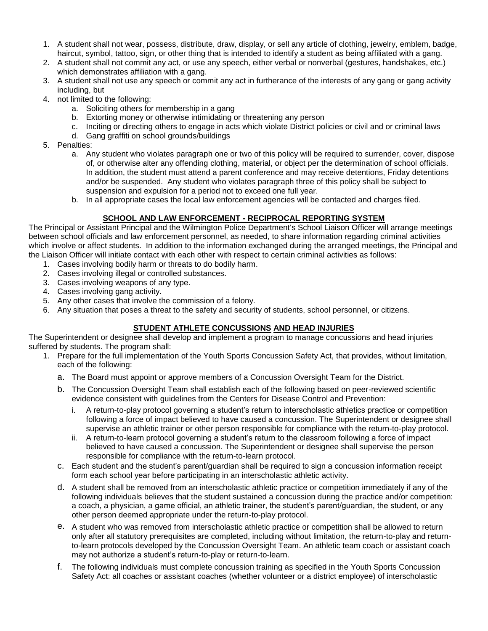- 1. A student shall not wear, possess, distribute, draw, display, or sell any article of clothing, jewelry, emblem, badge, haircut, symbol, tattoo, sign, or other thing that is intended to identify a student as being affiliated with a gang.
- 2. A student shall not commit any act, or use any speech, either verbal or nonverbal (gestures, handshakes, etc.) which demonstrates affiliation with a gang.
- 3. A student shall not use any speech or commit any act in furtherance of the interests of any gang or gang activity including, but
- 4. not limited to the following:
	- a. Soliciting others for membership in a gang
	- b. Extorting money or otherwise intimidating or threatening any person
	- c. Inciting or directing others to engage in acts which violate District policies or civil and or criminal laws
		- d. Gang graffiti on school grounds/buildings
- 5. Penalties:
	- a. Any student who violates paragraph one or two of this policy will be required to surrender, cover, dispose of, or otherwise alter any offending clothing, material, or object per the determination of school officials. In addition, the student must attend a parent conference and may receive detentions, Friday detentions and/or be suspended. Any student who violates paragraph three of this policy shall be subject to suspension and expulsion for a period not to exceed one full year.
	- b. In all appropriate cases the local law enforcement agencies will be contacted and charges filed.

# **SCHOOL AND LAW ENFORCEMENT - RECIPROCAL REPORTING SYSTEM**

The Principal or Assistant Principal and the Wilmington Police Department's School Liaison Officer will arrange meetings between school officials and law enforcement personnel, as needed, to share information regarding criminal activities which involve or affect students. In addition to the information exchanged during the arranged meetings, the Principal and the Liaison Officer will initiate contact with each other with respect to certain criminal activities as follows:

- 1. Cases involving bodily harm or threats to do bodily harm.
- 2. Cases involving illegal or controlled substances.
- 3. Cases involving weapons of any type.
- 4. Cases involving gang activity.
- 5. Any other cases that involve the commission of a felony.
- 6. Any situation that poses a threat to the safety and security of students, school personnel, or citizens.

## **STUDENT ATHLETE CONCUSSIONS AND HEAD INJURIES**

The Superintendent or designee shall develop and implement a program to manage concussions and head injuries suffered by students. The program shall:

- 1. Prepare for the full implementation of the Youth Sports Concussion Safety Act, that provides, without limitation, each of the following:
	- a. The Board must appoint or approve members of a Concussion Oversight Team for the District.
	- b. The Concussion Oversight Team shall establish each of the following based on peer-reviewed scientific evidence consistent with guidelines from the Centers for Disease Control and Prevention:
		- i. A return-to-play protocol governing a student's return to interscholastic athletics practice or competition following a force of impact believed to have caused a concussion. The Superintendent or designee shall supervise an athletic trainer or other person responsible for compliance with the return-to-play protocol.
		- ii. A return-to-learn protocol governing a student's return to the classroom following a force of impact believed to have caused a concussion. The Superintendent or designee shall supervise the person responsible for compliance with the return-to-learn protocol.
	- c. Each student and the student's parent/guardian shall be required to sign a concussion information receipt form each school year before participating in an interscholastic athletic activity.
	- d. A student shall be removed from an interscholastic athletic practice or competition immediately if any of the following individuals believes that the student sustained a concussion during the practice and/or competition: a coach, a physician, a game official, an athletic trainer, the student's parent/guardian, the student, or any other person deemed appropriate under the return-to-play protocol.
	- e. A student who was removed from interscholastic athletic practice or competition shall be allowed to return only after all statutory prerequisites are completed, including without limitation, the return-to-play and returnto-learn protocols developed by the Concussion Oversight Team. An athletic team coach or assistant coach may not authorize a student's return-to-play or return-to-learn.
	- f. The following individuals must complete concussion training as specified in the Youth Sports Concussion Safety Act: all coaches or assistant coaches (whether volunteer or a district employee) of interscholastic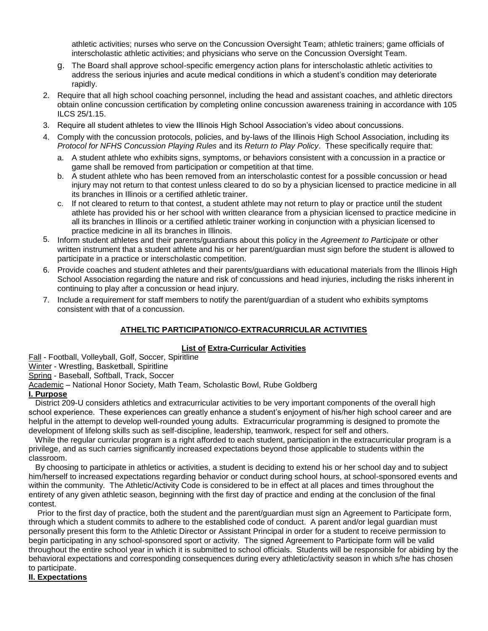athletic activities; nurses who serve on the Concussion Oversight Team; athletic trainers; game officials of interscholastic athletic activities; and physicians who serve on the Concussion Oversight Team.

- g. The Board shall approve school-specific emergency action plans for interscholastic athletic activities to address the serious injuries and acute medical conditions in which a student's condition may deteriorate rapidly.
- 2. Require that all high school coaching personnel, including the head and assistant coaches, and athletic directors obtain online concussion certification by completing online concussion awareness training in accordance with 105 ILCS 25/1.15.
- 3. Require all student athletes to view the Illinois High School Association's video about concussions.
- 4. Comply with the concussion protocols, policies, and by-laws of the Illinois High School Association, including its *Protocol for NFHS Concussion Playing Rules* and its *Return to Play Policy*. These specifically require that:
	- a. A student athlete who exhibits signs, symptoms, or behaviors consistent with a concussion in a practice or game shall be removed from participation or competition at that time.
	- b. A student athlete who has been removed from an interscholastic contest for a possible concussion or head injury may not return to that contest unless cleared to do so by a physician licensed to practice medicine in all its branches in Illinois or a certified athletic trainer.
	- c. If not cleared to return to that contest, a student athlete may not return to play or practice until the student athlete has provided his or her school with written clearance from a physician licensed to practice medicine in all its branches in Illinois or a certified athletic trainer working in conjunction with a physician licensed to practice medicine in all its branches in Illinois.
- 5. Inform student athletes and their parents/guardians about this policy in the *Agreement to Participate* or other written instrument that a student athlete and his or her parent/guardian must sign before the student is allowed to participate in a practice or interscholastic competition.
- 6. Provide coaches and student athletes and their parents/guardians with educational materials from the Illinois High School Association regarding the nature and risk of concussions and head injuries, including the risks inherent in continuing to play after a concussion or head injury.
- 7. Include a requirement for staff members to notify the parent/guardian of a student who exhibits symptoms consistent with that of a concussion.

## **ATHELTIC PARTICIPATION/CO-EXTRACURRICULAR ACTIVITIES**

## **List of Extra-Curricular Activities**

Fall - Football, Volleyball, Golf, Soccer, Spiritline Winter - Wrestling, Basketball, Spiritline Spring - Baseball, Softball, Track, Soccer Academic – National Honor Society, Math Team, Scholastic Bowl, Rube Goldberg

# **I. Purpose**

 District 209-U considers athletics and extracurricular activities to be very important components of the overall high school experience. These experiences can greatly enhance a student's enjoyment of his/her high school career and are helpful in the attempt to develop well-rounded young adults. Extracurricular programming is designed to promote the development of lifelong skills such as self-discipline, leadership, teamwork, respect for self and others.

 While the regular curricular program is a right afforded to each student, participation in the extracurricular program is a privilege, and as such carries significantly increased expectations beyond those applicable to students within the classroom.

 By choosing to participate in athletics or activities, a student is deciding to extend his or her school day and to subject him/herself to increased expectations regarding behavior or conduct during school hours, at school-sponsored events and within the community. The Athletic/Activity Code is considered to be in effect at all places and times throughout the entirety of any given athletic season, beginning with the first day of practice and ending at the conclusion of the final contest.

 Prior to the first day of practice, both the student and the parent/guardian must sign an Agreement to Participate form, through which a student commits to adhere to the established code of conduct. A parent and/or legal guardian must personally present this form to the Athletic Director or Assistant Principal in order for a student to receive permission to begin participating in any school-sponsored sport or activity. The signed Agreement to Participate form will be valid throughout the entire school year in which it is submitted to school officials. Students will be responsible for abiding by the behavioral expectations and corresponding consequences during every athletic/activity season in which s/he has chosen to participate.

#### **II. Expectations**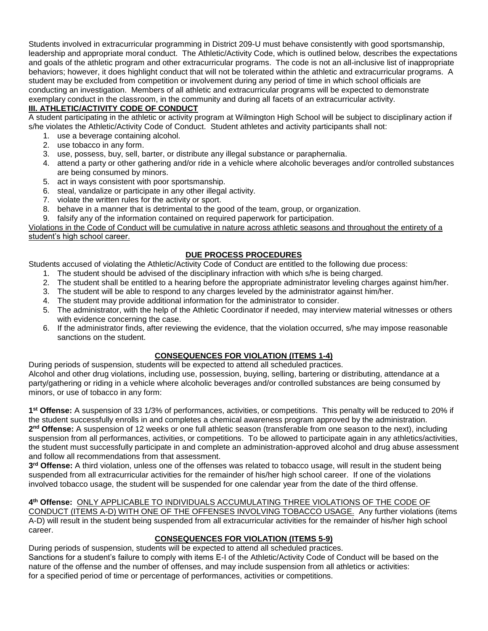Students involved in extracurricular programming in District 209-U must behave consistently with good sportsmanship, leadership and appropriate moral conduct. The Athletic/Activity Code, which is outlined below, describes the expectations and goals of the athletic program and other extracurricular programs. The code is not an all-inclusive list of inappropriate behaviors; however, it does highlight conduct that will not be tolerated within the athletic and extracurricular programs. A student may be excluded from competition or involvement during any period of time in which school officials are conducting an investigation. Members of all athletic and extracurricular programs will be expected to demonstrate exemplary conduct in the classroom, in the community and during all facets of an extracurricular activity.

# **III. ATHLETIC/ACTIVITY CODE OF CONDUCT**

A student participating in the athletic or activity program at Wilmington High School will be subject to disciplinary action if s/he violates the Athletic/Activity Code of Conduct. Student athletes and activity participants shall not:

- 1. use a beverage containing alcohol.
- 2. use tobacco in any form.
- 3. use, possess, buy, sell, barter, or distribute any illegal substance or paraphernalia.
- 4. attend a party or other gathering and/or ride in a vehicle where alcoholic beverages and/or controlled substances are being consumed by minors.
- 5. act in ways consistent with poor sportsmanship.
- 6. steal, vandalize or participate in any other illegal activity.
- 7. violate the written rules for the activity or sport.
- 8. behave in a manner that is detrimental to the good of the team, group, or organization.
- 9. falsify any of the information contained on required paperwork for participation.

Violations in the Code of Conduct will be cumulative in nature across athletic seasons and throughout the entirety of a student's high school career.

# **DUE PROCESS PROCEDURES**

Students accused of violating the Athletic/Activity Code of Conduct are entitled to the following due process:

- 1. The student should be advised of the disciplinary infraction with which s/he is being charged.
- 2. The student shall be entitled to a hearing before the appropriate administrator leveling charges against him/her.
- 3. The student will be able to respond to any charges leveled by the administrator against him/her.
- 4. The student may provide additional information for the administrator to consider.
- 5. The administrator, with the help of the Athletic Coordinator if needed, may interview material witnesses or others with evidence concerning the case.
- 6. If the administrator finds, after reviewing the evidence, that the violation occurred, s/he may impose reasonable sanctions on the student.

# **CONSEQUENCES FOR VIOLATION (ITEMS 1-4)**

During periods of suspension, students will be expected to attend all scheduled practices. Alcohol and other drug violations, including use, possession, buying, selling, bartering or distributing, attendance at a party/gathering or riding in a vehicle where alcoholic beverages and/or controlled substances are being consumed by minors, or use of tobacco in any form:

**1 st Offense:** A suspension of 33 1/3% of performances, activities, or competitions. This penalty will be reduced to 20% if the student successfully enrolls in and completes a chemical awareness program approved by the administration. 2<sup>nd</sup> Offense: A suspension of 12 weeks or one full athletic season (transferable from one season to the next), including suspension from all performances, activities, or competitions. To be allowed to participate again in any athletics/activities, the student must successfully participate in and complete an administration-approved alcohol and drug abuse assessment and follow all recommendations from that assessment.

**3 rd Offense:** A third violation, unless one of the offenses was related to tobacco usage, will result in the student being suspended from all extracurricular activities for the remainder of his/her high school career. If one of the violations involved tobacco usage, the student will be suspended for one calendar year from the date of the third offense.

**4 th Offense:** ONLY APPLICABLE TO INDIVIDUALS ACCUMULATING THREE VIOLATIONS OF THE CODE OF CONDUCT (ITEMS A-D) WITH ONE OF THE OFFENSES INVOLVING TOBACCO USAGE. Any further violations (items A-D) will result in the student being suspended from all extracurricular activities for the remainder of his/her high school career.

# **CONSEQUENCES FOR VIOLATION (ITEMS 5-9)**

During periods of suspension, students will be expected to attend all scheduled practices. Sanctions for a student's failure to comply with items E-I of the Athletic/Activity Code of Conduct will be based on the nature of the offense and the number of offenses, and may include suspension from all athletics or activities: for a specified period of time or percentage of performances, activities or competitions.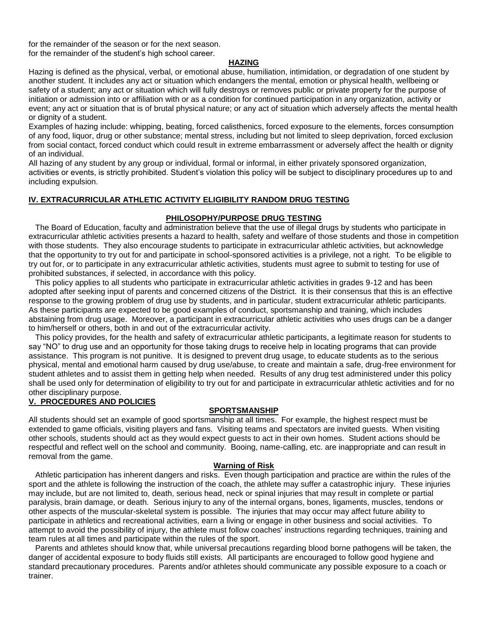for the remainder of the season or for the next season. for the remainder of the student's high school career.

#### **HAZING**

Hazing is defined as the physical, verbal, or emotional abuse, humiliation, intimidation, or degradation of one student by another student. It includes any act or situation which endangers the mental, emotion or physical health, wellbeing or safety of a student; any act or situation which will fully destroys or removes public or private property for the purpose of initiation or admission into or affiliation with or as a condition for continued participation in any organization, activity or event; any act or situation that is of brutal physical nature; or any act of situation which adversely affects the mental health or dignity of a student.

Examples of hazing include: whipping, beating, forced calisthenics, forced exposure to the elements, forces consumption of any food, liquor, drug or other substance; mental stress, including but not limited to sleep deprivation, forced exclusion from social contact, forced conduct which could result in extreme embarrassment or adversely affect the health or dignity of an individual.

All hazing of any student by any group or individual, formal or informal, in either privately sponsored organization, activities or events, is strictly prohibited. Student's violation this policy will be subject to disciplinary procedures up to and including expulsion.

#### **IV. EXTRACURRICULAR ATHLETIC ACTIVITY ELIGIBILITY RANDOM DRUG TESTING**

#### **PHILOSOPHY/PURPOSE DRUG TESTING**

 The Board of Education, faculty and administration believe that the use of illegal drugs by students who participate in extracurricular athletic activities presents a hazard to health, safety and welfare of those students and those in competition with those students. They also encourage students to participate in extracurricular athletic activities, but acknowledge that the opportunity to try out for and participate in school-sponsored activities is a privilege, not a right. To be eligible to try out for, or to participate in any extracurricular athletic activities, students must agree to submit to testing for use of prohibited substances, if selected, in accordance with this policy.

 This policy applies to all students who participate in extracurricular athletic activities in grades 9-12 and has been adopted after seeking input of parents and concerned citizens of the District. It is their consensus that this is an effective response to the growing problem of drug use by students, and in particular, student extracurricular athletic participants. As these participants are expected to be good examples of conduct, sportsmanship and training, which includes abstaining from drug usage. Moreover, a participant in extracurricular athletic activities who uses drugs can be a danger to him/herself or others, both in and out of the extracurricular activity.

 This policy provides, for the health and safety of extracurricular athletic participants, a legitimate reason for students to say "NO" to drug use and an opportunity for those taking drugs to receive help in locating programs that can provide assistance. This program is not punitive. It is designed to prevent drug usage, to educate students as to the serious physical, mental and emotional harm caused by drug use/abuse, to create and maintain a safe, drug-free environment for student athletes and to assist them in getting help when needed. Results of any drug test administered under this policy shall be used only for determination of eligibility to try out for and participate in extracurricular athletic activities and for no other disciplinary purpose.

#### **V. PROCEDURES AND POLICIES**

#### **SPORTSMANSHIP**

All students should set an example of good sportsmanship at all times. For example, the highest respect must be extended to game officials, visiting players and fans. Visiting teams and spectators are invited guests. When visiting other schools, students should act as they would expect guests to act in their own homes. Student actions should be respectful and reflect well on the school and community. Booing, name-calling, etc. are inappropriate and can result in removal from the game.

#### **Warning of Risk**

 Athletic participation has inherent dangers and risks. Even though participation and practice are within the rules of the sport and the athlete is following the instruction of the coach, the athlete may suffer a catastrophic injury. These injuries may include, but are not limited to, death, serious head, neck or spinal injuries that may result in complete or partial paralysis, brain damage, or death. Serious injury to any of the internal organs, bones, ligaments, muscles, tendons or other aspects of the muscular-skeletal system is possible. The injuries that may occur may affect future ability to participate in athletics and recreational activities, earn a living or engage in other business and social activities. To attempt to avoid the possibility of injury, the athlete must follow coaches' instructions regarding techniques, training and team rules at all times and participate within the rules of the sport.

 Parents and athletes should know that, while universal precautions regarding blood borne pathogens will be taken, the danger of accidental exposure to body fluids still exists. All participants are encouraged to follow good hygiene and standard precautionary procedures. Parents and/or athletes should communicate any possible exposure to a coach or trainer.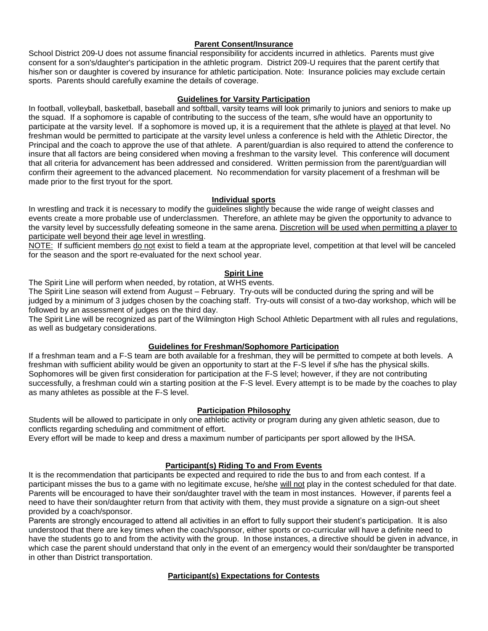#### **Parent Consent/Insurance**

School District 209-U does not assume financial responsibility for accidents incurred in athletics. Parents must give consent for a son's/daughter's participation in the athletic program. District 209-U requires that the parent certify that his/her son or daughter is covered by insurance for athletic participation. Note: Insurance policies may exclude certain sports. Parents should carefully examine the details of coverage.

#### **Guidelines for Varsity Participation**

In football, volleyball, basketball, baseball and softball, varsity teams will look primarily to juniors and seniors to make up the squad. If a sophomore is capable of contributing to the success of the team, s/he would have an opportunity to participate at the varsity level. If a sophomore is moved up, it is a requirement that the athlete is played at that level. No freshman would be permitted to participate at the varsity level unless a conference is held with the Athletic Director, the Principal and the coach to approve the use of that athlete. A parent/guardian is also required to attend the conference to insure that all factors are being considered when moving a freshman to the varsity level. This conference will document that all criteria for advancement has been addressed and considered. Written permission from the parent/guardian will confirm their agreement to the advanced placement. No recommendation for varsity placement of a freshman will be made prior to the first tryout for the sport.

#### **Individual sports**

In wrestling and track it is necessary to modify the guidelines slightly because the wide range of weight classes and events create a more probable use of underclassmen. Therefore, an athlete may be given the opportunity to advance to the varsity level by successfully defeating someone in the same arena. Discretion will be used when permitting a player to participate well beyond their age level in wrestling.

NOTE: If sufficient members do not exist to field a team at the appropriate level, competition at that level will be canceled for the season and the sport re-evaluated for the next school year.

#### **Spirit Line**

The Spirit Line will perform when needed, by rotation, at WHS events.

The Spirit Line season will extend from August – February. Try-outs will be conducted during the spring and will be iudged by a minimum of 3 judges chosen by the coaching staff. Try-outs will consist of a two-day workshop, which will be followed by an assessment of judges on the third day.

The Spirit Line will be recognized as part of the Wilmington High School Athletic Department with all rules and regulations, as well as budgetary considerations.

## **Guidelines for Freshman/Sophomore Participation**

If a freshman team and a F-S team are both available for a freshman, they will be permitted to compete at both levels. A freshman with sufficient ability would be given an opportunity to start at the F-S level if s/he has the physical skills. Sophomores will be given first consideration for participation at the F-S level; however, if they are not contributing successfully, a freshman could win a starting position at the F-S level. Every attempt is to be made by the coaches to play as many athletes as possible at the F-S level.

## **Participation Philosophy**

Students will be allowed to participate in only one athletic activity or program during any given athletic season, due to conflicts regarding scheduling and commitment of effort.

Every effort will be made to keep and dress a maximum number of participants per sport allowed by the IHSA.

## **Participant(s) Riding To and From Events**

It is the recommendation that participants be expected and required to ride the bus to and from each contest. If a participant misses the bus to a game with no legitimate excuse, he/she will not play in the contest scheduled for that date. Parents will be encouraged to have their son/daughter travel with the team in most instances. However, if parents feel a need to have their son/daughter return from that activity with them, they must provide a signature on a sign-out sheet provided by a coach/sponsor.

Parents are strongly encouraged to attend all activities in an effort to fully support their student's participation. It is also understood that there are key times when the coach/sponsor, either sports or co-curricular will have a definite need to have the students go to and from the activity with the group. In those instances, a directive should be given in advance, in which case the parent should understand that only in the event of an emergency would their son/daughter be transported in other than District transportation.

## **Participant(s) Expectations for Contests**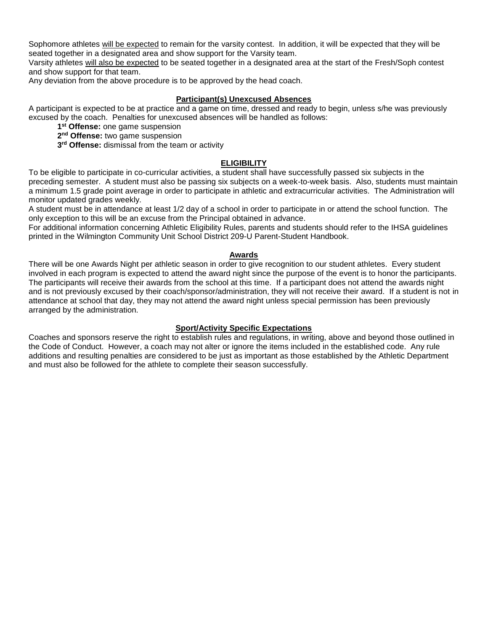Sophomore athletes will be expected to remain for the varsity contest. In addition, it will be expected that they will be seated together in a designated area and show support for the Varsity team.

Varsity athletes will also be expected to be seated together in a designated area at the start of the Fresh/Soph contest and show support for that team.

Any deviation from the above procedure is to be approved by the head coach.

#### **Participant(s) Unexcused Absences**

A participant is expected to be at practice and a game on time, dressed and ready to begin, unless s/he was previously excused by the coach. Penalties for unexcused absences will be handled as follows:

- **1 st Offense:** one game suspension
- **2 nd Offense:** two game suspension
- **3 rd Offense:** dismissal from the team or activity

#### **ELIGIBILITY**

To be eligible to participate in co-curricular activities, a student shall have successfully passed six subjects in the preceding semester. A student must also be passing six subjects on a week-to-week basis. Also, students must maintain a minimum 1.5 grade point average in order to participate in athletic and extracurricular activities. The Administration will monitor updated grades weekly.

A student must be in attendance at least 1/2 day of a school in order to participate in or attend the school function. The only exception to this will be an excuse from the Principal obtained in advance.

For additional information concerning Athletic Eligibility Rules, parents and students should refer to the IHSA guidelines printed in the Wilmington Community Unit School District 209-U Parent-Student Handbook.

#### **Awards**

There will be one Awards Night per athletic season in order to give recognition to our student athletes. Every student involved in each program is expected to attend the award night since the purpose of the event is to honor the participants. The participants will receive their awards from the school at this time. If a participant does not attend the awards night and is not previously excused by their coach/sponsor/administration, they will not receive their award. If a student is not in attendance at school that day, they may not attend the award night unless special permission has been previously arranged by the administration.

#### **Sport/Activity Specific Expectations**

Coaches and sponsors reserve the right to establish rules and regulations, in writing, above and beyond those outlined in the Code of Conduct. However, a coach may not alter or ignore the items included in the established code. Any rule additions and resulting penalties are considered to be just as important as those established by the Athletic Department and must also be followed for the athlete to complete their season successfully.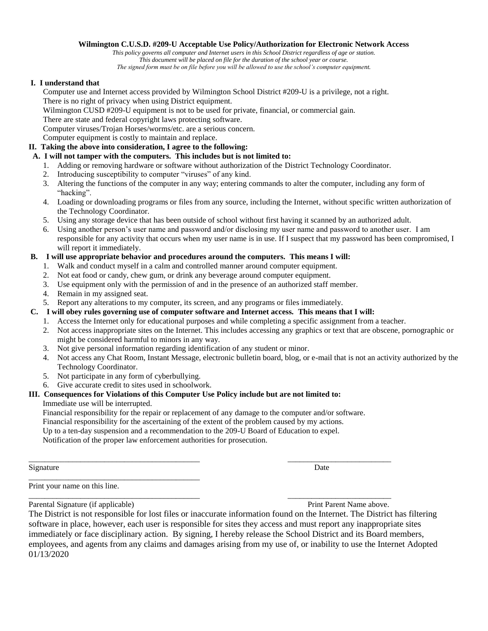#### **Wilmington C.U.S.D. #209-U Acceptable Use Policy/Authorization for Electronic Network Access**

*This policy governs all computer and Internet users in this School District regardless of age or station. This document will be placed on file for the duration of the school year or course.*

*The signed form must be on file before you will be allowed to use the school's computer equipment.*

#### **I. I understand that**

Computer use and Internet access provided by Wilmington School District #209-U is a privilege, not a right. There is no right of privacy when using District equipment.

Wilmington CUSD #209-U equipment is not to be used for private, financial, or commercial gain.

There are state and federal copyright laws protecting software.

Computer viruses/Trojan Horses/worms/etc. are a serious concern.

Computer equipment is costly to maintain and replace.

# **II. Taking the above into consideration, I agree to the following:**

# **A. I will not tamper with the computers. This includes but is not limited to:**

- 1. Adding or removing hardware or software without authorization of the District Technology Coordinator.
- 2. Introducing susceptibility to computer "viruses" of any kind.
- 3. Altering the functions of the computer in any way; entering commands to alter the computer, including any form of "hacking".
- 4. Loading or downloading programs or files from any source, including the Internet, without specific written authorization of the Technology Coordinator.
- 5. Using any storage device that has been outside of school without first having it scanned by an authorized adult.
- 6. Using another person's user name and password and/or disclosing my user name and password to another user. I am responsible for any activity that occurs when my user name is in use. If I suspect that my password has been compromised, I will report it immediately.

#### **B. I will use appropriate behavior and procedures around the computers. This means I will:**

- 1. Walk and conduct myself in a calm and controlled manner around computer equipment.
- 2. Not eat food or candy, chew gum, or drink any beverage around computer equipment.
- 3. Use equipment only with the permission of and in the presence of an authorized staff member.
- 4. Remain in my assigned seat.
- 5. Report any alterations to my computer, its screen, and any programs or files immediately.
- **C. I will obey rules governing use of computer software and Internet access. This means that I will:**
	- 1. Access the Internet only for educational purposes and while completing a specific assignment from a teacher.
	- 2. Not access inappropriate sites on the Internet. This includes accessing any graphics or text that are obscene, pornographic or might be considered harmful to minors in any way.
	- 3. Not give personal information regarding identification of any student or minor.
	- 4. Not access any Chat Room, Instant Message, electronic bulletin board, blog, or e-mail that is not an activity authorized by the Technology Coordinator.
	- 5. Not participate in any form of cyberbullying.
	- 6. Give accurate credit to sites used in schoolwork.

\_\_\_\_\_\_\_\_\_\_\_\_\_\_\_\_\_\_\_\_\_\_\_\_\_\_\_\_\_\_\_\_\_\_\_\_\_\_\_\_\_\_\_

## **III. Consequences for Violations of this Computer Use Policy include but are not limited to:**

## Immediate use will be interrupted.

Financial responsibility for the repair or replacement of any damage to the computer and/or software.

\_\_\_\_\_\_\_\_\_\_\_\_\_\_\_\_\_\_\_\_\_\_\_\_\_\_\_\_\_\_\_\_\_\_\_\_\_\_\_\_\_\_\_ \_\_\_\_\_\_\_\_\_\_\_\_\_\_\_\_\_\_\_\_\_\_\_\_\_\_

Financial responsibility for the ascertaining of the extent of the problem caused by my actions.

Up to a ten-day suspension and a recommendation to the 209-U Board of Education to expel.

Notification of the proper law enforcement authorities for prosecution.

Signature Date Date of the Date of the United States of the Date of the Date of the Date of the Date of the United States of the United States of the United States of the United States of the United States of the United St

Print your name on this line. \_\_\_\_\_\_\_\_\_\_\_\_\_\_\_\_\_\_\_\_\_\_\_\_\_\_\_\_\_\_\_\_\_\_\_\_\_\_\_\_\_\_\_ \_\_\_\_\_\_\_\_\_\_\_\_\_\_\_\_\_\_\_\_\_\_\_\_\_\_

Parental Signature (if applicable) **Print Parent Name above.** Print Parent Name above.

The District is not responsible for lost files or inaccurate information found on the Internet. The District has filtering software in place, however, each user is responsible for sites they access and must report any inappropriate sites immediately or face disciplinary action. By signing, I hereby release the School District and its Board members, employees, and agents from any claims and damages arising from my use of, or inability to use the Internet Adopted 01/13/2020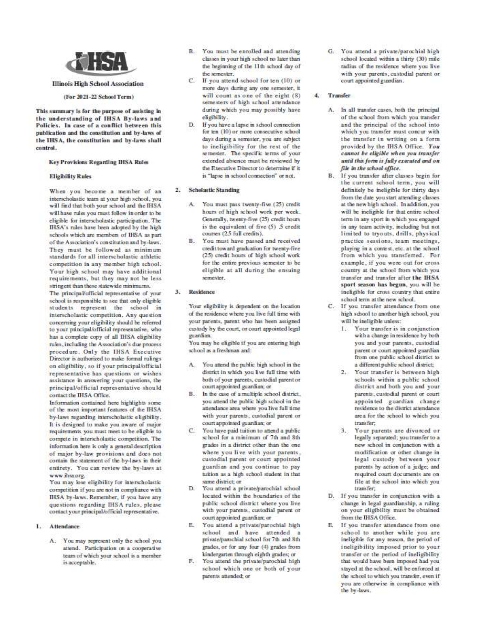

#### **Illinois High School Association**

#### (For 2021-22 School Term)

This summary is for the purpose of assisting in the understanding of IHSA By-laws and Policies. In case of a conflict between this publication and the constitution and by-laws of the IHSA, the constitution and by-laws shall control.

#### **Key Provisions Regarding IHSA Rules**

#### **Eligibility Rules**

When you hecome a member of an interscholastic team at your high school, you will find that both your school and the IHSA will have rules you must follow in order to be eligible for interscholastic participation. The IHSA's rules have been adopted by the high schools which are members of IHSA as part of the Association's constitution and by-laws. They must be followed as minimum standards for all interscholastic athletic competition in any member high school. Your high school may have additional requirements, but they may not be less stringent than these statewide minimums.

The principal/official representative of your school is responsible to see that only eligible students represent the school in interscholastic competition. Any question concerning your eligibility should be referred to your principal/official representative, who has a complete copy of all IHSA eligibility rules, including the Association's due process procedure. Only the IHSA Executive Director is authorized to make formal rulings on eligibility, so if your principal/official representative has questions or wishes assistance in answering your questions, the principal/official representative should contact the IHSA Office.

Information contained here highlights some of the most important features of the IHSA hy-laws regarding interscholastic eligibility. It is designed to make you aware of major requirements you must meet to be eligible to compete in interscholastic competition. The information here is only a general description of major by-law provisions and does not contain the statement of the by-laws in their entirety. You can review the by-laws at www.ihsa.org.

You may lose eligibility for interscholastic competition if you are not in compliance with IHSA by-laws. Remember, if you have any questions regarding IHSA rules, please contact your principal/official representative.

#### 1. Attendance

A. You may represent only the school you attend. Participation on a cooperative team of which your school is a member is acceptable.

- B. You must be enrolled and attending classes in your high school no later than the beginning of the 11th school day of the semester.
- C. If you attend school for ten (10) or more days during any one semester, it will count as one of the eight (8) semesters of high school attendance during which you may possibly have eligibility.
- D. If you have a lapse in school connection for ten (10) or more consecutive school days during a semester, you are subject to ineligibility for the rest of the semester. The specific terms of your extended absence must be reviewed by the Executive Director to determine if it is "lapse in school connection" or not.

#### 2. Scholastic Standing

- A. You must pass twenty-five (25) credit hours of high school work per week. Generally, twenty-five (25) credit hours is the equivalent of five (5) 5 credit courses (2.5 full credits).
- B. You must have passed and received credit toward graduation for twenty-five (25) credit hours of high school work for the entire previous semester to be eligible at all during the ensuing semester.

#### 3. Residence

Your eligibility is dependent on the location of the residence where you live full time with your parents, parent who has been assigned custody by the court, or court appointed legal guardian.

You may be eligible if you are entering high school as a freshman and:

- A. You attend the public high school in the district in which you live full time with both of your parents, custodial parent or court appointed guardian; or
- B. In the case of a multiple school district, you attend the public high school in the attendance area where you live full time with your parents, custodial parent or court appointed guardian; or
- C. You have paid tuition to attend a public school for a minimum of 7th and 8th grades in a district other than the one where you live with your parents, custodial parent or court appointed guardian and you continue to pay tuition as a high school student in that same district; or
- D. You attend a private/parochial school located within the boundaries of the public school district where you live with your parents, custodial parent or court appointed guardian; or
- E. You attend a private/parochial high school and have attended a private/parochial school for 7th and 8th grades, or for any four (4) grades from kindergarten through eighth grades; or
- F. You attend the private/parochial high school which one or both of your parents attended; or

G. You attend a private/parochial high school located within a thirty (30) mile radius of the residence where you live with your parents, custodial parent or court appointed guardian.

#### 4. Transfer

- A. In all transfer cases, hoth the principal of the school from which you transfer and the principal of the school into which you transfer must concur with the transfer in writing on a form provided by the IHSA Office. You cannot be eligible when you transfer until this form is fully executed and on file in the school office.
- B. If you transfer after classes begin for the current school term, you will definitely be ineligible for thirty days from the date you start attending classes at the new high school. In addition, you will be ineligible for that entire school term in any sport in which you engaged in any team activity, including but not limited to tryouts, drills, physical practice sessions, team meetings, playing in a contest, etc. at the school from which you transferred. For example, if you were out for cross country at the school from which you transfer and transfer after the IHSA sport season has begun, you will be ineligible for cross country that entire school term at the new school.
- C. If you transfer attendance from one high school to another high school, you will be ineligible unless:
	- 1. Your transfer is in conjunction with a change in residence by both you and your parents, custodial parent or court appointed guardian from one public school district to a different public school district;
	- 2. Your transfer is between high schools within a public school district and both you and your parents, custodial parent or court appointed guardian change residence to the district attendance area for the school to which you transfer:
	- 3. Your parents are divorced or legally separated; you transfer to a new school in conjunction with a modification or other change in legal custody between your parents by action of a judge; and required court documents are on file at the school into which you transfer:
- D. If you transfer in conjunction with a change in legal guardianship, a ruling on your eligibility must be obtained from the IHSA Office.
- E. If you transfer attendance from one school to another while you are ineligible for any reason, the period of ineligibility imposed prior to your transfer or the period of ineligibility that would have been imposed had you stayed at the school, will be enforced at the school to which you transfer, even if you are otherwise in compliance with the by-laws.